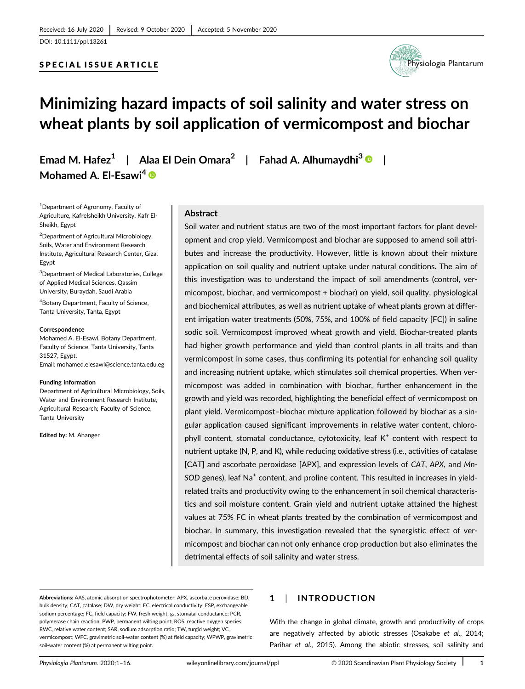## SPECIAL ISSUE ARTICLE



# Minimizing hazard impacts of soil salinity and water stress on wheat plants by soil application of vermicompost and biochar

Emad M. Hafez<sup>1</sup> | Alaa El Dein Omara<sup>2</sup> | Fahad A. Alhumaydhi<sup>3</sup>  $\bullet$  | Mohamed A. El-Esawi<sup>4</sup> ®

1 Department of Agronomy, Faculty of Agriculture, Kafrelsheikh University, Kafr El-Sheikh, Egypt

2 Department of Agricultural Microbiology, Soils, Water and Environment Research Institute, Agricultural Research Center, Giza, Egypt

3 Department of Medical Laboratories, College of Applied Medical Sciences, Qassim University, Buraydah, Saudi Arabia

4 Botany Department, Faculty of Science, Tanta University, Tanta, Egypt

#### Correspondence

Mohamed A. El-Esawi, Botany Department, Faculty of Science, Tanta University, Tanta 31527, Egypt. Email: [mohamed.elesawi@science.tanta.edu.eg](mailto:mohamed.elesawi@science.tanta.edu.eg)

#### Funding information

Department of Agricultural Microbiology, Soils, Water and Environment Research Institute, Agricultural Research; Faculty of Science, Tanta University

Edited by: M. Ahanger

#### Abstract

Soil water and nutrient status are two of the most important factors for plant development and crop yield. Vermicompost and biochar are supposed to amend soil attributes and increase the productivity. However, little is known about their mixture application on soil quality and nutrient uptake under natural conditions. The aim of this investigation was to understand the impact of soil amendments (control, vermicompost, biochar, and vermicompost + biochar) on yield, soil quality, physiological and biochemical attributes, as well as nutrient uptake of wheat plants grown at different irrigation water treatments (50%, 75%, and 100% of field capacity [FC]) in saline sodic soil. Vermicompost improved wheat growth and yield. Biochar-treated plants had higher growth performance and yield than control plants in all traits and than vermicompost in some cases, thus confirming its potential for enhancing soil quality and increasing nutrient uptake, which stimulates soil chemical properties. When vermicompost was added in combination with biochar, further enhancement in the growth and yield was recorded, highlighting the beneficial effect of vermicompost on plant yield. Vermicompost–biochar mixture application followed by biochar as a singular application caused significant improvements in relative water content, chlorophyll content, stomatal conductance, cytotoxicity, leaf  $K^+$  content with respect to nutrient uptake (N, P, and K), while reducing oxidative stress (i.e., activities of catalase [CAT] and ascorbate peroxidase [APX], and expression levels of CAT, APX, and Mn- $SOD$  genes), leaf  $Na<sup>+</sup>$  content, and proline content. This resulted in increases in yieldrelated traits and productivity owing to the enhancement in soil chemical characteristics and soil moisture content. Grain yield and nutrient uptake attained the highest values at 75% FC in wheat plants treated by the combination of vermicompost and biochar. In summary, this investigation revealed that the synergistic effect of vermicompost and biochar can not only enhance crop production but also eliminates the detrimental effects of soil salinity and water stress.

Abbreviations: AAS, atomic absorption spectrophotometer; APX, ascorbate peroxidase; BD, bulk density; CAT, catalase; DW, dry weight; EC, electrical conductivity; ESP, exchangeable sodium percentage; FC, field capacity; FW, fresh weight; gs, stomatal conductance; PCR, polymerase chain reaction; PWP, permanent wilting point; ROS, reactive oxygen species; RWC, relative water content; SAR, sodium adsorption ratio; TW, turgid weight; VC, vermicompost; WFC, gravimetric soil-water content (%) at field capacity; WPWP, gravimetric soil-water content (%) at permanent wilting point.

## 1 | INTRODUCTION

With the change in global climate, growth and productivity of crops are negatively affected by abiotic stresses (Osakabe et al., 2014; Parihar et al., 2015). Among the abiotic stresses, soil salinity and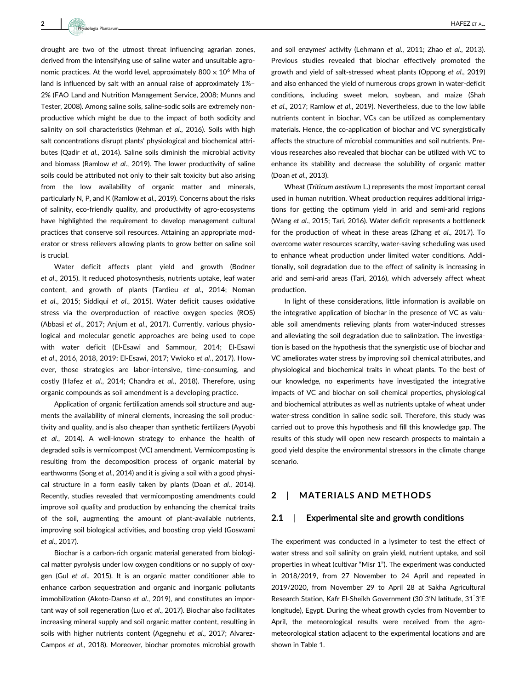2 HAFEZ ET AL. Physiologia Plantarum

drought are two of the utmost threat influencing agrarian zones, derived from the intensifying use of saline water and unsuitable agronomic practices. At the world level, approximately  $800 \times 10^6$  Mha of land is influenced by salt with an annual raise of approximately 1%– 2% (FAO Land and Nutrition Management Service, 2008; Munns and Tester, 2008). Among saline soils, saline-sodic soils are extremely nonproductive which might be due to the impact of both sodicity and salinity on soil characteristics (Rehman et al., 2016). Soils with high salt concentrations disrupt plants' physiological and biochemical attributes (Qadir et al., 2014). Saline soils diminish the microbial activity and biomass (Ramlow et al., 2019). The lower productivity of saline soils could be attributed not only to their salt toxicity but also arising from the low availability of organic matter and minerals, particularly N, P, and K (Ramlow et al., 2019). Concerns about the risks of salinity, eco-friendly quality, and productivity of agro-ecosystems have highlighted the requirement to develop management cultural practices that conserve soil resources. Attaining an appropriate moderator or stress relievers allowing plants to grow better on saline soil is crucial.

Water deficit affects plant yield and growth (Bodner et al., 2015). It reduced photosynthesis, nutrients uptake, leaf water content, and growth of plants (Tardieu et al., 2014; Noman et al., 2015; Siddiqui et al., 2015). Water deficit causes oxidative stress via the overproduction of reactive oxygen species (ROS) (Abbasi et al., 2017; Anjum et al., 2017). Currently, various physiological and molecular genetic approaches are being used to cope with water deficit (El-Esawi and Sammour, 2014; El-Esawi et al., 2016, 2018, 2019; El-Esawi, 2017; Vwioko et al., 2017). However, those strategies are labor-intensive, time-consuming, and costly (Hafez et al., 2014; Chandra et al., 2018). Therefore, using organic compounds as soil amendment is a developing practice.

Application of organic fertilization amends soil structure and augments the availability of mineral elements, increasing the soil productivity and quality, and is also cheaper than synthetic fertilizers (Ayyobi et al., 2014). A well-known strategy to enhance the health of degraded soils is vermicompost (VC) amendment. Vermicomposting is resulting from the decomposition process of organic material by earthworms (Song et al., 2014) and it is giving a soil with a good physical structure in a form easily taken by plants (Doan et al., 2014). Recently, studies revealed that vermicomposting amendments could improve soil quality and production by enhancing the chemical traits of the soil, augmenting the amount of plant-available nutrients, improving soil biological activities, and boosting crop yield (Goswami et al., 2017).

Biochar is a carbon-rich organic material generated from biological matter pyrolysis under low oxygen conditions or no supply of oxygen (Gul et al., 2015). It is an organic matter conditioner able to enhance carbon sequestration and organic and inorganic pollutants immobilization (Akoto-Danso et al., 2019), and constitutes an important way of soil regeneration (Luo et al., 2017). Biochar also facilitates increasing mineral supply and soil organic matter content, resulting in soils with higher nutrients content (Agegnehu et al., 2017; Alvarez-Campos et al., 2018). Moreover, biochar promotes microbial growth and soil enzymes' activity (Lehmann et al., 2011; Zhao et al., 2013). Previous studies revealed that biochar effectively promoted the growth and yield of salt-stressed wheat plants (Oppong et al., 2019) and also enhanced the yield of numerous crops grown in water-deficit conditions, including sweet melon, soybean, and maize (Shah et al., 2017; Ramlow et al., 2019). Nevertheless, due to the low labile nutrients content in biochar, VCs can be utilized as complementary materials. Hence, the co-application of biochar and VC synergistically affects the structure of microbial communities and soil nutrients. Previous researches also revealed that biochar can be utilized with VC to enhance its stability and decrease the solubility of organic matter (Doan et al., 2013).

Wheat (Triticum aestivum L.) represents the most important cereal used in human nutrition. Wheat production requires additional irrigations for getting the optimum yield in arid and semi-arid regions (Wang et al., 2015; Tari, 2016). Water deficit represents a bottleneck for the production of wheat in these areas (Zhang et al., 2017). To overcome water resources scarcity, water-saving scheduling was used to enhance wheat production under limited water conditions. Additionally, soil degradation due to the effect of salinity is increasing in arid and semi-arid areas (Tari, 2016), which adversely affect wheat production.

In light of these considerations, little information is available on the integrative application of biochar in the presence of VC as valuable soil amendments relieving plants from water-induced stresses and alleviating the soil degradation due to salinization. The investigation is based on the hypothesis that the synergistic use of biochar and VC ameliorates water stress by improving soil chemical attributes, and physiological and biochemical traits in wheat plants. To the best of our knowledge, no experiments have investigated the integrative impacts of VC and biochar on soil chemical properties, physiological and biochemical attributes as well as nutrients uptake of wheat under water-stress condition in saline sodic soil. Therefore, this study was carried out to prove this hypothesis and fill this knowledge gap. The results of this study will open new research prospects to maintain a good yield despite the environmental stressors in the climate change scenario.

## 2 | MATERIALS AND METHODS

#### 2.1 | Experimental site and growth conditions

The experiment was conducted in a lysimeter to test the effect of water stress and soil salinity on grain yield, nutrient uptake, and soil properties in wheat (cultivar "Misr 1"). The experiment was conducted in 2018/2019, from 27 November to 24 April and repeated in 2019/2020, from November 29 to April 28 at Sakha Agricultural Research Station, Kafr El-Sheikh Government (30°3'N latitude, 31°3'E longitude), Egypt. During the wheat growth cycles from November to April, the meteorological results were received from the agrometeorological station adjacent to the experimental locations and are shown in Table 1.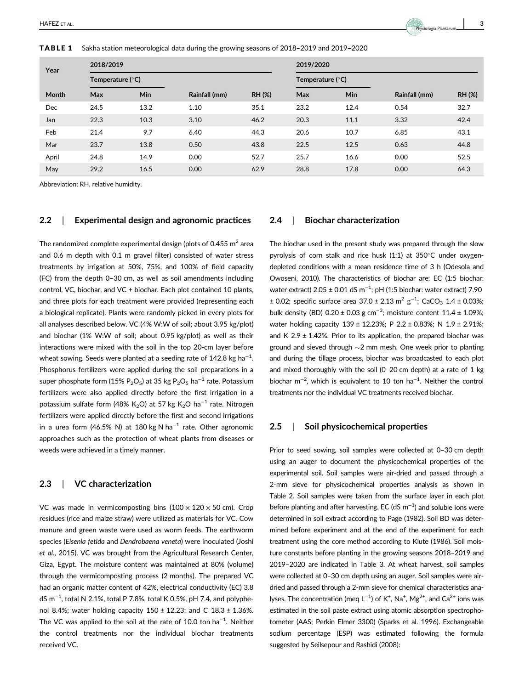TABLE 1 Sakha station meteorological data during the growing seasons of 2018–2019 and 2019–2020

| Year       | 2018/2019          |            |               |               | 2019/2020        |      |               |               |
|------------|--------------------|------------|---------------|---------------|------------------|------|---------------|---------------|
|            | Temperature $(°C)$ |            |               |               | Temperature (°C) |      |               |               |
| Month      | Max                | <b>Min</b> | Rainfall (mm) | <b>RH (%)</b> | Max              | Min  | Rainfall (mm) | <b>RH (%)</b> |
| <b>Dec</b> | 24.5               | 13.2       | 1.10          | 35.1          | 23.2             | 12.4 | 0.54          | 32.7          |
| Jan        | 22.3               | 10.3       | 3.10          | 46.2          | 20.3             | 11.1 | 3.32          | 42.4          |
| Feb        | 21.4               | 9.7        | 6.40          | 44.3          | 20.6             | 10.7 | 6.85          | 43.1          |
| Mar        | 23.7               | 13.8       | 0.50          | 43.8          | 22.5             | 12.5 | 0.63          | 44.8          |
| April      | 24.8               | 14.9       | 0.00          | 52.7          | 25.7             | 16.6 | 0.00          | 52.5          |
| May        | 29.2               | 16.5       | 0.00          | 62.9          | 28.8             | 17.8 | 0.00          | 64.3          |

Abbreviation: RH, relative humidity.

## 2.2 | Experimental design and agronomic practices

The randomized complete experimental design (plots of 0.455  $m<sup>2</sup>$  area and 0.6 m depth with 0.1 m gravel filter) consisted of water stress treatments by irrigation at 50%, 75%, and 100% of field capacity (FC) from the depth 0–30 cm, as well as soil amendments including control, VC, biochar, and VC + biochar. Each plot contained 10 plants, and three plots for each treatment were provided (representing each a biological replicate). Plants were randomly picked in every plots for all analyses described below. VC (4% W:W of soil; about 3.95 kg/plot) and biochar (1% W:W of soil; about 0.95 kg/plot) as well as their interactions were mixed with the soil in the top 20-cm layer before wheat sowing. Seeds were planted at a seeding rate of 142.8 kg ha $^{\rm -1}$ . Phosphorus fertilizers were applied during the soil preparations in a super phosphate form (15% P<sub>2</sub>O<sub>5</sub>) at 35 kg P<sub>2</sub>O<sub>5</sub> ha<sup>-1</sup> rate. Potassium fertilizers were also applied directly before the first irrigation in a potassium sulfate form (48% K<sub>2</sub>O) at 57 kg K<sub>2</sub>O ha<sup>-1</sup> rate. Nitrogen fertilizers were applied directly before the first and second irrigations in a urea form (46.5% N) at 180 kg N ha<sup>-1</sup> rate. Other agronomic approaches such as the protection of wheat plants from diseases or weeds were achieved in a timely manner.

#### 2.3 | VC characterization

VC was made in vermicomposting bins  $(100 \times 120 \times 50 \text{ cm})$ . Crop residues (rice and maize straw) were utilized as materials for VC. Cow manure and green waste were used as worm feeds. The earthworm species (Eisenia fetida and Dendrobaena veneta) were inoculated (Joshi et al., 2015). VC was brought from the Agricultural Research Center, Giza, Egypt. The moisture content was maintained at 80% (volume) through the vermicomposting process (2 months). The prepared VC had an organic matter content of 42%, electrical conductivity (EC) 3.8 dS m $^{-1}$ , total N 2.1%, total P 7.8%, total K 0.5%, pH 7.4, and polyphenol 8.4%; water holding capacity  $150 \pm 12.23$ ; and C  $18.3 \pm 1.36$ %. The VC was applied to the soil at the rate of 10.0 ton ha<sup>-1</sup>. Neither the control treatments nor the individual biochar treatments received VC.

#### 2.4 | Biochar characterization

The biochar used in the present study was prepared through the slow pyrolysis of corn stalk and rice husk  $(1:1)$  at 350°C under oxygendepleted conditions with a mean residence time of 3 h (Odesola and Owoseni, 2010). The characteristics of biochar are: EC (1:5 biochar: water extract)  $2.05 \pm 0.01$  dS m<sup>-1</sup>; pH (1:5 biochar: water extract) 7.90  $\pm$  0.02; specific surface area 37.0  $\pm$  2.13 m<sup>2</sup> g<sup>-1</sup>; CaCO<sub>3</sub> 1.4  $\pm$  0.03%; bulk density (BD)  $0.20 \pm 0.03$  g cm<sup>-3</sup>; moisture content  $11.4 \pm 1.09\%$ ; water holding capacity 139 ± 12.23%; P 2.2 ± 0.83%; N 1.9 ± 2.91%; and K 2.9  $\pm$  1.42%. Prior to its application, the prepared biochar was ground and sieved through  $\sim$ 2 mm mesh. One week prior to planting and during the tillage process, biochar was broadcasted to each plot and mixed thoroughly with the soil (0–20 cm depth) at a rate of 1 kg biochar m<sup>-2</sup>, which is equivalent to 10 ton ha<sup>-1</sup>. Neither the control treatments nor the individual VC treatments received biochar.

#### 2.5 | Soil physicochemical properties

Prior to seed sowing, soil samples were collected at 0–30 cm depth using an auger to document the physicochemical properties of the experimental soil. Soil samples were air-dried and passed through a 2-mm sieve for physicochemical properties analysis as shown in Table 2. Soil samples were taken from the surface layer in each plot before planting and after harvesting. EC (dS m<sup>-1</sup>) and soluble ions were determined in soil extract according to Page (1982). Soil BD was determined before experiment and at the end of the experiment for each treatment using the core method according to Klute (1986). Soil moisture constants before planting in the growing seasons 2018–2019 and 2019–2020 are indicated in Table 3. At wheat harvest, soil samples were collected at 0–30 cm depth using an auger. Soil samples were airdried and passed through a 2-mm sieve for chemical characteristics analyses. The concentration (meq L<sup>-1</sup>) of K<sup>+</sup>, Na<sup>+</sup>, Mg<sup>2+</sup>, and Ca<sup>2+</sup> ions was estimated in the soil paste extract using atomic absorption spectrophotometer (AAS; Perkin Elmer 3300) (Sparks et al. 1996). Exchangeable sodium percentage (ESP) was estimated following the formula suggested by Seilsepour and Rashidi (2008):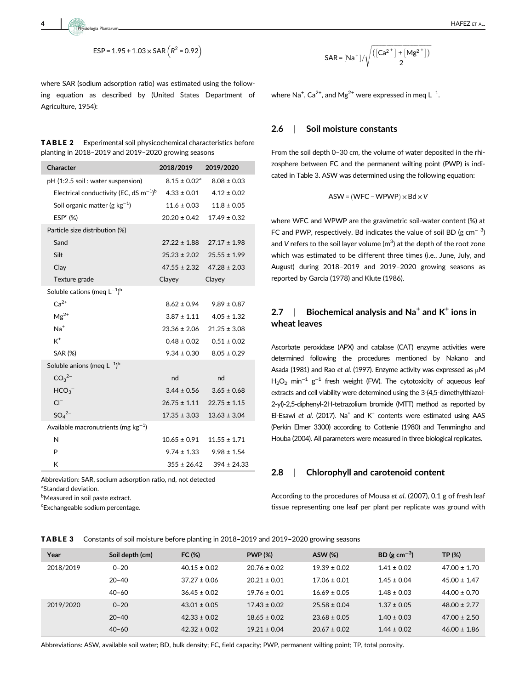where SAR (sodium adsorption ratio) was estimated using the following equation as described by (United States Department of Agriculture, 1954):

| TABLE 2 | Experimental soil physicochemical characteristics before |
|---------|----------------------------------------------------------|
|         | planting in 2018–2019 and 2019–2020 growing seasons      |

| Character                                               | 2018/2019               | 2019/2020                         |
|---------------------------------------------------------|-------------------------|-----------------------------------|
| pH (1:2.5 soil: water suspension)                       | $8.15 \pm 0.02^{\rm a}$ | $8.08 \pm 0.03$                   |
| Electrical conductivity (EC, dS $m^{-1}$ ) <sup>b</sup> | $4.33 \pm 0.01$         | $4.12 \pm 0.02$                   |
| Soil organic matter (g $kg^{-1}$ )                      | $11.6 \pm 0.03$         | $11.8 \pm 0.05$                   |
| ESP <sup>c</sup> (%)                                    | $20.20 \pm 0.42$        | $17.49 \pm 0.32$                  |
| Particle size distribution (%)                          |                         |                                   |
| Sand                                                    |                         | $27.22 \pm 1.88$ $27.17 \pm 1.98$ |
| Silt                                                    |                         | $25.23 \pm 2.02$ $25.55 \pm 1.99$ |
| Clay                                                    |                         | $47.55 \pm 2.32$ $47.28 \pm 2.03$ |
| Texture grade                                           | Clayey                  | Clayey                            |
| Soluble cations (meg $L^{-1}$ ) <sup>b</sup>            |                         |                                   |
| $Ca2+$                                                  | $8.62 \pm 0.94$         | $9.89 \pm 0.87$                   |
| $Mg^{2+}$                                               | $3.87 \pm 1.11$         | $4.05 \pm 1.32$                   |
| $Na+$                                                   | $23.36 \pm 2.06$        | $21.25 \pm 3.08$                  |
| $K^+$                                                   | $0.48 \pm 0.02$         | $0.51 \pm 0.02$                   |
| SAR (%)                                                 | $9.34 \pm 0.30$         | $8.05 \pm 0.29$                   |
| Soluble anions (meg $L^{-1}$ ) <sup>b</sup>             |                         |                                   |
| CO <sub>3</sub> <sup>2–</sup>                           | nd                      | nd                                |
| HCO <sub>3</sub>                                        | $3.44 \pm 0.56$         | $3.65 \pm 0.68$                   |
| $CI^{-}$                                                |                         | $26.75 \pm 1.11$ $22.75 \pm 1.15$ |
| $SO_4^2$ <sup>-</sup>                                   | $17.35 \pm 3.03$        | $13.63 \pm 3.04$                  |
| Available macronutrients (mg $kg^{-1}$ )                |                         |                                   |
| N                                                       | $10.65 \pm 0.91$        | $11.55 \pm 1.71$                  |
| P                                                       | $9.74 \pm 1.33$         | $9.98 \pm 1.54$                   |
| К                                                       | $355 \pm 26.42$         | $394 \pm 24.33$                   |

Abbreviation: SAR, sodium adsorption ratio, nd, not detected <sup>a</sup>Standard deviation.

**bMeasured in soil paste extract.** 

c Exchangeable sodium percentage.

$$
SAR = [Na^+] / \sqrt{\frac{([Ca^{2^+}] + [Mg^{2^+}])}{2}}
$$

where Na<sup>+</sup>, Ca<sup>2+</sup>, and Mg<sup>2+</sup> were expressed in meq  $L^{-1}$ .

## 2.6 | Soil moisture constants

From the soil depth 0–30 cm, the volume of water deposited in the rhizosphere between FC and the permanent wilting point (PWP) is indicated in Table 3. ASW was determined using the following equation:

$$
\mathsf{ASW} = (\mathsf{WFC} - \mathsf{WPWP}) \times \mathsf{Bd} \times \mathsf{V}
$$

where WFC and WPWP are the gravimetric soil-water content (%) at FC and PWP, respectively. Bd indicates the value of soil BD (g cm<sup>-3</sup>) and V refers to the soil layer volume  $(m^3)$  at the depth of the root zone which was estimated to be different three times (i.e., June, July, and August) during 2018–2019 and 2019–2020 growing seasons as reported by Garcia (1978) and Klute (1986).

## 2.7 | Biochemical analysis and  $Na<sup>+</sup>$  and  $K<sup>+</sup>$  ions in wheat leaves

Ascorbate peroxidase (APX) and catalase (CAT) enzyme activities were determined following the procedures mentioned by Nakano and Asada (1981) and Rao et al. (1997). Enzyme activity was expressed as μM  $H<sub>2</sub>O<sub>2</sub>$  min<sup>-1</sup> g<sup>-1</sup> fresh weight (FW). The cytotoxicity of aqueous leaf extracts and cell viability were determined using the 3-(4,5-dimethylthiazol-2-yl)-2,5-diphenyl-2H-tetrazolium bromide (MTT) method as reported by El-Esawi et al. (2017). Na<sup>+</sup> and  $K^+$  contents were estimated using AAS (Perkin Elmer 3300) according to Cottenie (1980) and Temmingho and Houba (2004). All parameters were measured in three biological replicates.

#### 2.8 | Chlorophyll and carotenoid content

According to the procedures of Mousa et al. (2007), 0.1 g of fresh leaf tissue representing one leaf per plant per replicate was ground with

| <b>TABLE 3</b> Constants of soil moisture before planting in 2018–2019 and 2019–2020 growing seasons |
|------------------------------------------------------------------------------------------------------|
|------------------------------------------------------------------------------------------------------|

| Year      | Soil depth (cm) | FC (%)           | <b>PWP (%)</b>   | <b>ASW (%)</b>   | BD (g cm <sup>-3</sup> ) | TP (%)           |
|-----------|-----------------|------------------|------------------|------------------|--------------------------|------------------|
| 2018/2019 | $0 - 20$        | $40.15 \pm 0.02$ | $20.76 \pm 0.02$ | $19.39 \pm 0.02$ | $1.41 \pm 0.02$          | $47.00 \pm 1.70$ |
|           | $20 - 40$       | $37.27 \pm 0.06$ | $20.21 \pm 0.01$ | $17.06 \pm 0.01$ | $1.45 \pm 0.04$          | $45.00 \pm 1.47$ |
|           | $40 - 60$       | $36.45 \pm 0.02$ | $19.76 \pm 0.01$ | $16.69 \pm 0.05$ | $1.48 \pm 0.03$          | $44.00 \pm 0.70$ |
| 2019/2020 | $0 - 20$        | $43.01 \pm 0.05$ | $17.43 \pm 0.02$ | $25.58 \pm 0.04$ | $1.37 \pm 0.05$          | $48.00 \pm 2.77$ |
|           | $20 - 40$       | $42.33 \pm 0.02$ | $18.65 \pm 0.02$ | $23.68 \pm 0.05$ | $1.40 \pm 0.03$          | $47.00 \pm 2.50$ |
|           | $40 - 60$       | $42.32 \pm 0.02$ | $19.21 \pm 0.04$ | $20.67 \pm 0.02$ | $1.44 \pm 0.02$          | $46.00 \pm 1.86$ |

Abbreviations: ASW, available soil water; BD, bulk density; FC, field capacity; PWP, permanent wilting point; TP, total porosity.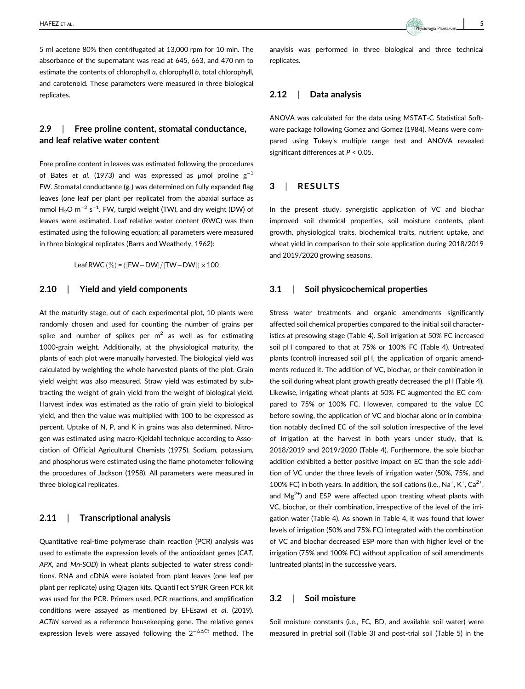5 ml acetone 80% then centrifugated at 13,000 rpm for 10 min. The absorbance of the supernatant was read at 645, 663, and 470 nm to estimate the contents of chlorophyll a, chlorophyll b, total chlorophyll, and carotenoid. These parameters were measured in three biological replicates.

## 2.9 | Free proline content, stomatal conductance, and leaf relative water content

Free proline content in leaves was estimated following the procedures of Bates et al. (1973) and was expressed as µmol proline  $g^{-1}$ FW. Stomatal conductance  $(g_s)$  was determined on fully expanded flag leaves (one leaf per plant per replicate) from the abaxial surface as mmol  $\rm H_2O$  m $^{-2}$  s $^{-1}$ . FW, turgid weight (TW), and dry weight (DW) of leaves were estimated. Leaf relative water content (RWC) was then estimated using the following equation; all parameters were measured in three biological replicates (Barrs and Weatherly, 1962):

Leaf RWC $(\%) = (FW - DW)/(TW - DW) \times 100$ 

#### 2.10 | Yield and yield components

At the maturity stage, out of each experimental plot, 10 plants were randomly chosen and used for counting the number of grains per spike and number of spikes per  $m<sup>2</sup>$  as well as for estimating 1000-grain weight. Additionally, at the physiological maturity, the plants of each plot were manually harvested. The biological yield was calculated by weighting the whole harvested plants of the plot. Grain yield weight was also measured. Straw yield was estimated by subtracting the weight of grain yield from the weight of biological yield. Harvest index was estimated as the ratio of grain yield to biological yield, and then the value was multiplied with 100 to be expressed as percent. Uptake of N, P, and K in grains was also determined. Nitrogen was estimated using macro-Kjeldahl technique according to Association of Official Agricultural Chemists (1975). Sodium, potassium, and phosphorus were estimated using the flame photometer following the procedures of Jackson (1958). All parameters were measured in three biological replicates.

#### 2.11 | Transcriptional analysis

Quantitative real-time polymerase chain reaction (PCR) analysis was used to estimate the expression levels of the antioxidant genes (CAT, APX, and Mn-SOD) in wheat plants subjected to water stress conditions. RNA and cDNA were isolated from plant leaves (one leaf per plant per replicate) using Qiagen kits. QuantiTect SYBR Green PCR kit was used for the PCR. Primers used, PCR reactions, and amplification conditions were assayed as mentioned by El-Esawi et al. (2019). ACTIN served as a reference housekeeping gene. The relative genes expression levels were assayed following the  $2^{-\Delta\Delta Ct}$  method. The anaylsis was performed in three biological and three technical replicates.

#### 2.12 | Data analysis

ANOVA was calculated for the data using MSTAT-C Statistical Software package following Gomez and Gomez (1984). Means were compared using Tukey's multiple range test and ANOVA revealed significant differences at P < 0.05.

## 3 | RESULTS

In the present study, synergistic application of VC and biochar improved soil chemical properties, soil moisture contents, plant growth, physiological traits, biochemical traits, nutrient uptake, and wheat yield in comparison to their sole application during 2018/2019 and 2019/2020 growing seasons.

#### 3.1 | Soil physicochemical properties

Stress water treatments and organic amendments significantly affected soil chemical properties compared to the initial soil characteristics at presowing stage (Table 4). Soil irrigation at 50% FC increased soil pH compared to that at 75% or 100% FC (Table 4). Untreated plants (control) increased soil pH, the application of organic amendments reduced it. The addition of VC, biochar, or their combination in the soil during wheat plant growth greatly decreased the pH (Table 4). Likewise, irrigating wheat plants at 50% FC augmented the EC compared to 75% or 100% FC. However, compared to the value EC before sowing, the application of VC and biochar alone or in combination notably declined EC of the soil solution irrespective of the level of irrigation at the harvest in both years under study, that is, 2018/2019 and 2019/2020 (Table 4). Furthermore, the sole biochar addition exhibited a better positive impact on EC than the sole addition of VC under the three levels of irrigation water (50%, 75%, and 100% FC) in both years. In addition, the soil cations (i.e., Na<sup>+</sup>, K<sup>+</sup>, Ca<sup>2+</sup>, and  $Mg^{2+}$ ) and ESP were affected upon treating wheat plants with VC, biochar, or their combination, irrespective of the level of the irrigation water (Table 4). As shown in Table 4, it was found that lower levels of irrigation (50% and 75% FC) integrated with the combination of VC and biochar decreased ESP more than with higher level of the irrigation (75% and 100% FC) without application of soil amendments (untreated plants) in the successive years.

#### 3.2 | Soil moisture

Soil moisture constants (i.e., FC, BD, and available soil water) were measured in pretrial soil (Table 3) and post-trial soil (Table 5) in the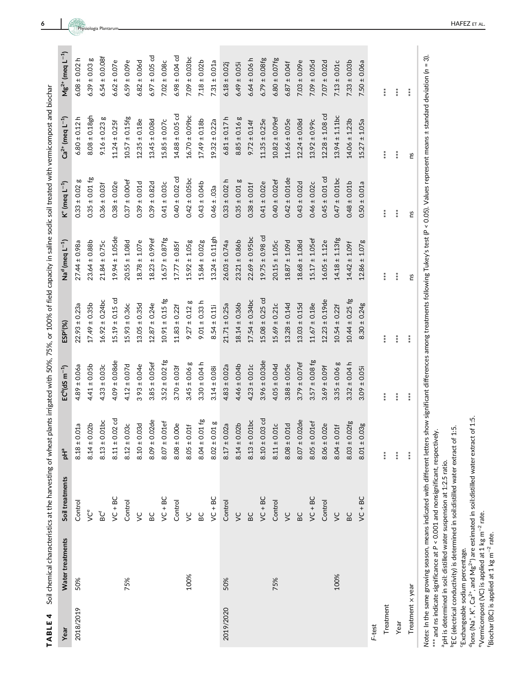| .<br>.<br>.                                                   |
|---------------------------------------------------------------|
|                                                               |
|                                                               |
|                                                               |
|                                                               |
|                                                               |
|                                                               |
|                                                               |
|                                                               |
|                                                               |
|                                                               |
|                                                               |
|                                                               |
|                                                               |
| ֧֦֦֦֦֦֖֖֦֖֚֚֚֚֚֚֚֝֟֟֟֝֝֬֝֬֝֝֝֬֝                               |
|                                                               |
|                                                               |
|                                                               |
|                                                               |
|                                                               |
|                                                               |
|                                                               |
|                                                               |
|                                                               |
|                                                               |
| ;<br>;                                                        |
|                                                               |
|                                                               |
|                                                               |
|                                                               |
| $\mathbf$                                                     |
|                                                               |
|                                                               |
|                                                               |
|                                                               |
|                                                               |
|                                                               |
| í                                                             |
|                                                               |
|                                                               |
|                                                               |
|                                                               |
|                                                               |
|                                                               |
|                                                               |
|                                                               |
|                                                               |
|                                                               |
|                                                               |
|                                                               |
|                                                               |
|                                                               |
|                                                               |
|                                                               |
|                                                               |
|                                                               |
|                                                               |
|                                                               |
|                                                               |
| ֦֧֦֦֦֧֦֦֦֧֦֦֧֦֧֦֧֦֧֦֧֦֧֦֧֦֧֦֧֦֧֦֧֝֬֝֬֝֬֓֞֡֓֓֞֡֓֞֬֓֞֓֡֬֓֓֞֓֞֓֬ |
|                                                               |
|                                                               |
| j                                                             |
|                                                               |
| $\ddot{\phantom{0}}$                                          |
| sting of                                                      |
| ļ                                                             |
|                                                               |
|                                                               |
|                                                               |
|                                                               |
|                                                               |
|                                                               |
|                                                               |
|                                                               |
|                                                               |
|                                                               |
|                                                               |
|                                                               |
|                                                               |
| ļ                                                             |
|                                                               |
|                                                               |
| I                                                             |
|                                                               |
|                                                               |
|                                                               |
| I                                                             |
|                                                               |
|                                                               |
|                                                               |
|                                                               |
| ì                                                             |
|                                                               |
|                                                               |
|                                                               |
|                                                               |
| ı<br>ľ                                                        |
| I                                                             |
| I                                                             |
| l                                                             |

| TABLE 4          | Soil chemical characteristics at the harvesting of wheat |                 |                                 |                                                            | plants irrigated with 50%, 75%, or 100% of field capacity in saline sodic soil treated with vermicompost and biochar |                                        |                        |                           |                           |
|------------------|----------------------------------------------------------|-----------------|---------------------------------|------------------------------------------------------------|----------------------------------------------------------------------------------------------------------------------|----------------------------------------|------------------------|---------------------------|---------------------------|
| Year             | Water treatments                                         | Soil treatments | ₽۳                              | $\mathsf{EC}^{\mathsf{b}}(\mathsf{dS} \; \mathsf{m}^{-1})$ | ESP <sup>c(%)</sup>                                                                                                  | Na <sup>d</sup> (meq L <sup>-1</sup> ) | K $^+$ (meq $L^{-1}$ ) | $Ca^{2+}$ (meq $L^{-1}$ ) | $Mg^{2+}$ (meq $L^{-1}$ ) |
| 2018/2019        | 50%                                                      | Control         | 0.01a<br>$8.18 \pm$             | $4.89 \pm 0.06a$                                           | $22.93 \pm 0.23a$                                                                                                    | $27.44 \pm 0.98a$                      | œ<br>$0.33 \pm 0.02$   | $6.80 \pm 0.12$ h         | $6.08 \pm 0.02$ h         |
|                  |                                                          | ğ               | 0.02 <sub>b</sub><br>$8.14 \pm$ | $4.41 \pm 0.05$ b                                          | $17.49 \pm 0.35$ b                                                                                                   | $23.64 \pm 0.88b$                      | $0.35 \pm 0.01$ fg     | $8.08 \pm 0.18$ gh        | $6.39 \pm 0.03$ g         |
|                  |                                                          | BC <sup>f</sup> | 0.01bc<br>$8.13 \pm$            | $4.33 \pm 0.03c$                                           | $16.92 \pm 0.24$ bc                                                                                                  | $21.84 \pm 0.75c$                      | $0.36 \pm 0.03$        | œ<br>$9.16 \pm 0.23$      | $6.54 \pm 0.0.08f$        |
|                  |                                                          | $VC + BC$       | $0.02$ cd<br>$8.11 \pm$         | $4.09 \pm 0.08$ de                                         | $15.19 \pm 0.15$ cd                                                                                                  | $19.94 \pm 1.05$ de                    | $0.38 \pm 0.02e$       | $11.24 \pm 0.25f$         | $6.62 \pm 0.07e$          |
|                  | 75%                                                      | Control         | 0.03c<br>$8.12 \pm$             | $4.12 \pm 0.07$ d                                          | $15.93 \pm 0.36c$                                                                                                    | $20.55 \pm 1.08d$                      | $0.37 \pm 0.00$ ef     | $10.57 \pm 0.15$ fg       | $6.59 \pm 0.09e$          |
|                  |                                                          | $\zeta$         | 0.03d<br>$8.10 \pm$             | $393 \pm 0.04e$                                            | $13.05 \pm 0.35d$                                                                                                    | $18.78 \pm 1.07e$                      | $0.39 \pm 0.01$ d      | $12.35 \pm 0.18e$         | $6.82 \pm 0.06d$          |
|                  |                                                          | BC              | 0.02de<br>8.09 ±                | $3.85 \pm 0.05$ ef                                         | $12.87 \pm 0.24e$                                                                                                    | $18.23 \pm 0.99$ ef                    | $0.39 \pm 0.82d$       | $13.45 \pm 0.08d$         | $6.97 \pm 0.05$ cd        |
|                  |                                                          | $VC + BC$       | $0.01$ ef<br>$8.07 \pm$         | $3.52 \pm 0.02$ fg                                         | $10.91 \pm 0.15$ fg                                                                                                  | $16.57 \pm 0.87$ fg                    | $0.41 \pm 0.03c$       | $15.85 \pm 0.07c$         | $7.02 \pm 0.08c$          |
|                  |                                                          | Control         | 0.00e<br>$8.08 \pm$             | $3.70 \pm 0.03$ f                                          | $11.83 \pm 0.22$ f                                                                                                   | $17.77 \pm 0.85f$                      | $0.40 \pm 0.02$ cd     | $14.88 \pm 0.05$ cd       | $6.98 \pm 0.04$ cd        |
|                  | 100%                                                     | $\zeta$         | 0.01f<br>$8.05 \pm$             | $3.45 \pm 0.06$ g                                          | $9.27 \pm 0.12$ g                                                                                                    | $15.92 \pm 1.05g$                      | $0.42 \pm 0.05$ bc     | $16.70 \pm 0.09$ bc       | $7.09 \pm 0.03$ bc        |
|                  |                                                          | BC              | $0.01$ fg<br>$8.04 \pm$         | $3.30 \pm 0.04 h$                                          | $9.01 \pm 0.33$ h                                                                                                    | $15.84 \pm 0.02g$                      | $0.43 \pm 0.04b$       | $17.49 \pm 0.18b$         | $7.18 \pm 0.02b$          |
|                  |                                                          | $VC + BC$       | 0.01g<br>$8.02 \pm$             | $3.14 \pm 0.08i$                                           | $8.54 \pm 0.11$                                                                                                      | $13.24 \pm 0.11$ gh                    | $0.46 \pm .03a$        | $19.32 \pm 0.22a$         | $7.31 \pm 0.01a$          |
| 2019/2020        | 50%                                                      | Control         | 0.02a<br>$8.17 \pm$             | $4.83 \pm 0.02a$                                           | $21.71 \pm 0.25a$                                                                                                    | $26.03 \pm 0.74a$                      | $0.33 \pm 0.02$ h      | $6.81 \pm 0.17$ h         | $6.18 \pm 0.02$           |
|                  |                                                          | $\zeta$         | 0.02 <sub>b</sub><br>$8.14 \pm$ | $4.46 \pm 0.04b$                                           | $18.14 \pm 0.36$                                                                                                     | $23.21 \pm 0.86b$                      | $0.35 \pm 0.01$ g      | $8.85 \pm 0.16$ g         | $6.49 \pm 0.05i$          |
|                  |                                                          | BC              | 0.01bc<br>$8.13 \pm$            | $4.23 \pm 0.01c$                                           | $17.54 \pm 0.34$ bc                                                                                                  | $22.69 \pm 0.95$ bc                    | $0.38 \pm 0.01$ f      | $9.72 \pm 0.14$           | $6.64 \pm 0.06$ h         |
|                  |                                                          | $VC + BC$       | $0.03$ cd<br>$8.10 \pm$         | $3.96 \pm 0.03$ de                                         | $15.08 \pm 0.25$ cd                                                                                                  | $19.75 \pm 0.98$ cd                    | $0.41 \pm 0.02e$       | $11.35 \pm 0.25e$         | $6.79 \pm 0.08$ fg        |
|                  | 75%                                                      | Control         | 0.01c<br>$8.11 \pm$             | $4.05 \pm 0.04d$                                           | $15.69 \pm 0.21c$                                                                                                    | $20.15 \pm 1.05c$                      | $0.40 \pm 0.02$ ef     | $10.82 \pm 0.09$ ef       | $6.80 \pm 0.07$ fg        |
|                  |                                                          | $\zeta$         | 0.01d<br>$8.08 \pm$             | $3.88 \pm 0.05e$                                           | $13.28 \pm 0.14d$                                                                                                    | $18.87 \pm 1.09d$                      | $0.42 \pm 0.01$ de     | $11.66 \pm 0.05e$         | $6.87 \pm 0.04$ f         |
|                  |                                                          | BC              | 0.02de<br>$8.07 \pm$            | $3.79 \pm 0.07$ ef                                         | $13.03 \pm 0.15d$                                                                                                    | $18.68 \pm 1.08d$                      | $0.43 \pm 0.02d$       | $12.24 \pm 0.08d$         | $7.03 \pm 0.09e$          |
|                  |                                                          | $VC + BC$       | $0.01$ ef<br>$8.05 \pm$         | $3.57 \pm 0.08$ fg                                         | $11.67 \pm 0.18e$                                                                                                    | $15.17 \pm 1.05$ ef                    | $0.46 \pm 0.02c$       | $13.92 \pm 0.99c$         | $7.09 \pm 0.05d$          |
|                  |                                                          | Control         | 0.02e<br>$8.06 \pm$             | $3.69 \pm 0.09$ f                                          | $12.23 \pm 0.19$ de                                                                                                  | $16.05 \pm 1.12e$                      | $0.45 \pm 0.01$ cd     | $12.28 \pm 1.08$ cd       | $7.07 \pm 0.02$ d         |
|                  | 100%                                                     | $\zeta$         | 0.01f<br>$8.04 \pm$             | $3.35 \pm 0.06$ g                                          | $10.54 \pm 0.22f$                                                                                                    | $14.18 \pm 1.13$ fg                    | $0.47 \pm 0.01$ bc     | $13.94 \pm 1.11$ bc       | $7.13 \pm 0.01c$          |
|                  |                                                          | BC              | 0.02fg<br>$8.03 \pm$            | $3.32 \pm 0.04 h$                                          | $10.44 \pm 0.25$ fg                                                                                                  | $14.42 \pm 1.09$ f                     | $0.48 \pm 0.01b$       | $14.06 \pm 1.23b$         | $7.33 \pm 0.03b$          |
|                  |                                                          | $VC + BC$       | 0.03g<br>$8.01 \pm$             | $3.09 \pm 0.05$                                            | $8.30 \pm 0.24g$                                                                                                     | $12.86 \pm 1.07$ g                     | $0.50 \pm 0.01a$       | $15.27 \pm 1.05a$         | $7.50 \pm 0.06a$          |
| F-test           |                                                          |                 |                                 |                                                            |                                                                                                                      |                                        |                        |                           |                           |
| Treatment        |                                                          |                 | $***$                           | $***$                                                      | $***$                                                                                                                | $***$                                  | $***$                  | $***$                     | $***$                     |
| Year             |                                                          |                 | $***$                           | $**\ast$                                                   | $***$                                                                                                                | $**\ast$                               | $***$                  | $***$                     | $**\ast$                  |
| Treatment x year |                                                          |                 | $**\ast$                        | $**\n$                                                     | $**$                                                                                                                 | ns                                     | ns                     | <b>PS</b>                 | $***$                     |

Notes: In the same growing season, means indicated with different letters show significant differences among treatments following Tukey's test (P < 0.05). Values represent means ± standard deviation (n = 3). Notes: In the same growing season, means indicated with different letters show significant differences among treatments following Tukey's test (P < 0.05). Values represent means ± standard deviation (n = 3). \*\*\* and ns indicate significance at P < 0.001 and nonsignificant, respectively.  $**$  and ns indicate significance at  $P \le 0.001$  and nonsignificant, respectively.

<sup>a</sup>pH is determined in soil: distilled water suspension at 1:2.5 ratio. apH is determined in soil: distilled water suspension at 1:2.5 ratio.

<sup>b</sup>EC (electrical conductivity) is determined in soil:distilled water extract of 1:5. bEC (electrical conductivity) is determined in soil:distilled water extract of 1:5.

'Exchangeable sodium percentage. cExchangeable sodium percentage.

 $d$  lons (Na<sup>+</sup>, K<sup>+</sup>, Ca<sup>2+</sup>, and Mg<sup>2+</sup>) are estimated in soil:distilled water extract of 1:5.  $d$ <sub>lons</sub> (Na<sup>+</sup>, K<sup>+</sup>, Ca<sup>2+</sup>, and Mg<sup>2+</sup>) are estimated in soil:distilled water extract of 1:5.

<sup>e</sup>Vermicompost (VC) is applied at 1 kg m<sup>-2</sup> rate.<br>
'Biochar (BC) is applied at 1 kg m<sup>-2</sup> rate. eVermicompost (VC) is applied at 1 kg m−2 rate. fBiochar (BC) is applied at 1 kg m−2 rate.

6 HAFEZ ET AL HAFEZ ET AL.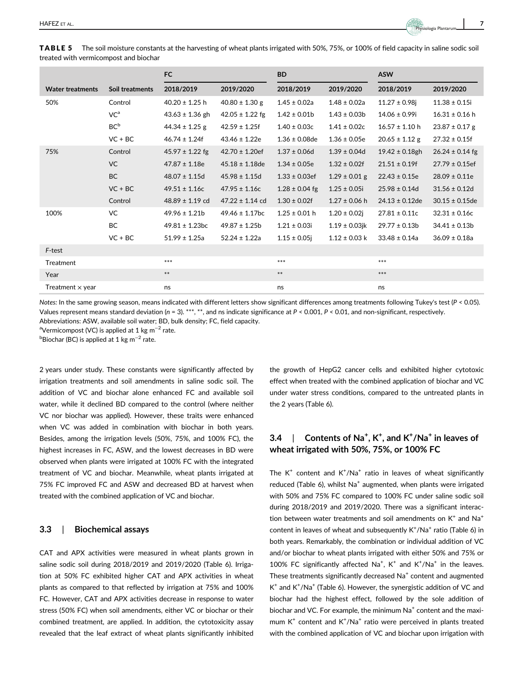TABLE 5 The soil moisture constants at the harvesting of wheat plants irrigated with 50%, 75%, or 100% of field capacity in saline sodic soil treated with vermicompost and biochar

|                         |                 | FC                  |                     | <b>BD</b>          |                    | <b>ASW</b>          |                     |
|-------------------------|-----------------|---------------------|---------------------|--------------------|--------------------|---------------------|---------------------|
| <b>Water treatments</b> | Soil treatments | 2018/2019           | 2019/2020           | 2018/2019          | 2019/2020          | 2018/2019           | 2019/2020           |
| 50%                     | Control         | $40.20 \pm 1.25$ h  | $40.80 \pm 1.30$ g  | $1.45 \pm 0.02a$   | $1.48 \pm 0.02a$   | $11.27 \pm 0.98$ i  | $11.38 \pm 0.15i$   |
|                         | VC <sup>a</sup> | $43.63 \pm 1.36$ gh | $42.05 \pm 1.22$ fg | $1.42 \pm 0.01$    | $1.43 \pm 0.03b$   | $14.06 \pm 0.99i$   | $16.31 \pm 0.16$ h  |
|                         | BC <sup>b</sup> | $44.34 \pm 1.25$ g  | $42.59 \pm 1.25f$   | $1.40 \pm 0.03c$   | $1.41 \pm 0.02c$   | $16.57 \pm 1.10$ h  | $23.87 \pm 0.17$ g  |
|                         | $VC + BC$       | $46.74 \pm 1.24f$   | $43.46 \pm 1.22e$   | $1.36 \pm 0.08$ de | $1.36 \pm 0.05e$   | $20.65 \pm 1.12$ g  | $27.32 \pm 0.15f$   |
| 75%                     | Control         | $45.97 \pm 1.22$ fg | $42.70 \pm 1.20$ ef | $1.37 \pm 0.06d$   | $1.39 \pm 0.04$ d  | $19.42 \pm 0.18$ gh | $26.24 \pm 0.14$ fg |
|                         | <b>VC</b>       | $47.87 \pm 1.18e$   | $45.18 \pm 1.18$ de | $1.34 \pm 0.05e$   | $1.32 \pm 0.02f$   | $21.51 \pm 0.19f$   | $27.79 \pm 0.15$ ef |
|                         | <b>BC</b>       | $48.07 \pm 1.15$ d  | $45.98 \pm 1.15d$   | $1.33 \pm 0.03$ ef | $1.29 \pm 0.01$ g  | $22.43 \pm 0.15e$   | $28.09 \pm 0.11e$   |
|                         | $VC + BC$       | $49.51 \pm 1.16c$   | $47.95 \pm 1.16c$   | $1.28 \pm 0.04$ fg | $1.25 \pm 0.05i$   | $25.98 \pm 0.14d$   | $31.56 \pm 0.12d$   |
|                         | Control         | $48.89 \pm 1.19$ cd | $47.22 \pm 1.14$ cd | $1.30 \pm 0.02$ f  | $1.27 \pm 0.06$ h  | $24.13 \pm 0.12$ de | $30.15 \pm 0.15$ de |
| 100%                    | VC              | $49.96 \pm 1.21b$   | $49.46 \pm 1.17$ bc | $1.25 \pm 0.01$ h  | $1.20 \pm 0.02$ j  | $27.81 \pm 0.11c$   | $32.31 \pm 0.16c$   |
|                         | <b>BC</b>       | $49.81 \pm 1.23$ bc | $49.87 \pm 1.25b$   | $1.21 \pm 0.03i$   | $1.19 \pm 0.03$ jk | $29.77 \pm 0.13b$   | $34.41 \pm 0.13b$   |
|                         | $VC + BC$       | $51.99 \pm 1.25a$   | $52.24 \pm 1.22a$   | $1.15 \pm 0.05$ j  | $1.12 \pm 0.03$ k  | $33.48 \pm 0.14a$   | $36.09 \pm 0.18a$   |
| F-test                  |                 |                     |                     |                    |                    |                     |                     |
| Treatment               |                 | ***                 |                     | $***$              |                    | $***$               |                     |
| Year                    |                 | $\ast\ast$          |                     | $\ast\ast$         |                    | $***$               |                     |
| Treatment $\times$ year |                 | ns                  |                     | ns                 |                    | ns                  |                     |

Notes: In the same growing season, means indicated with different letters show significant differences among treatments following Tukey's test (P < 0.05). Values represent means standard deviation ( $n = 3$ ). \*\*\*, \*\*, and ns indicate significance at  $P < 0.001$ ,  $P < 0.01$ , and non-significant, respectively.

Abbreviations: ASW, available soil water; BD, bulk density; FC, field capacity.

<sup>a</sup>Vermicompost (VC) is applied at 1 kg m<sup>−2</sup> rate.

 $^{\rm b}$ Biochar (BC) is applied at 1 kg m $^{-2}$  rate.

2 years under study. These constants were significantly affected by irrigation treatments and soil amendments in saline sodic soil. The addition of VC and biochar alone enhanced FC and available soil water, while it declined BD compared to the control (where neither VC nor biochar was applied). However, these traits were enhanced when VC was added in combination with biochar in both years. Besides, among the irrigation levels (50%, 75%, and 100% FC), the highest increases in FC, ASW, and the lowest decreases in BD were observed when plants were irrigated at 100% FC with the integrated treatment of VC and biochar. Meanwhile, wheat plants irrigated at 75% FC improved FC and ASW and decreased BD at harvest when treated with the combined application of VC and biochar.

## 3.3 | Biochemical assays

CAT and APX activities were measured in wheat plants grown in saline sodic soil during 2018/2019 and 2019/2020 (Table 6). Irrigation at 50% FC exhibited higher CAT and APX activities in wheat plants as compared to that reflected by irrigation at 75% and 100% FC. However, CAT and APX activities decrease in response to water stress (50% FC) when soil amendments, either VC or biochar or their combined treatment, are applied. In addition, the cytotoxicity assay revealed that the leaf extract of wheat plants significantly inhibited the growth of HepG2 cancer cells and exhibited higher cytotoxic effect when treated with the combined application of biochar and VC under water stress conditions, compared to the untreated plants in the 2 years (Table 6).

# 3.4  $\parallel$  Contents of Na<sup>+</sup>, K<sup>+</sup>, and K<sup>+</sup>/Na<sup>+</sup> in leaves of wheat irrigated with 50%, 75%, or 100% FC

The  $K^+$  content and  $K^+ / Na^+$  ratio in leaves of wheat significantly reduced (Table 6), whilst  $Na<sup>+</sup>$  augmented, when plants were irrigated with 50% and 75% FC compared to 100% FC under saline sodic soil during 2018/2019 and 2019/2020. There was a significant interaction between water treatments and soil amendments on  $K^+$  and  $Na^+$ content in leaves of wheat and subsequently  $K^+/Na^+$  ratio (Table 6) in both years. Remarkably, the combination or individual addition of VC and/or biochar to wheat plants irrigated with either 50% and 75% or 100% FC significantly affected  $Na^+$ , K<sup>+</sup> and K<sup>+</sup>/Na<sup>+</sup> in the leaves. These treatments significantly decreased Na<sup>+</sup> content and augmented  $K^+$  and  $K^+$ /Na<sup>+</sup> (Table 6). However, the synergistic addition of VC and biochar had the highest effect, followed by the sole addition of biochar and VC. For example, the minimum Na<sup>+</sup> content and the maximum K<sup>+</sup> content and K<sup>+</sup>/Na<sup>+</sup> ratio were perceived in plants treated with the combined application of VC and biochar upon irrigation with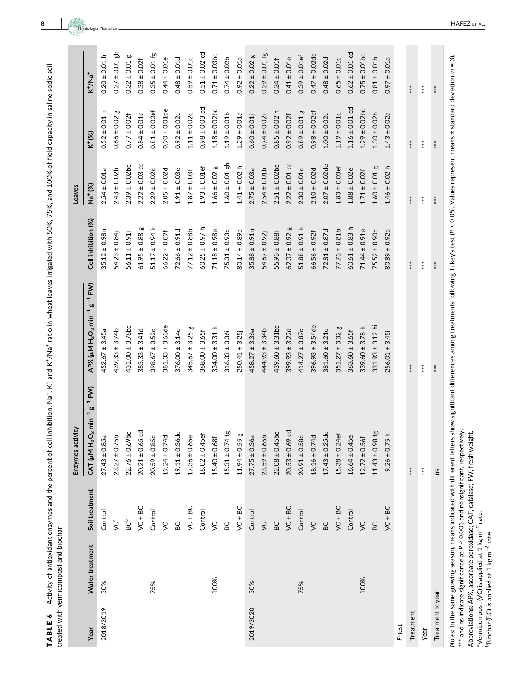TABLE 6 Activity of antioxidant enzymes and the percent of cell inhibition, Na<sup>+</sup>, K<sup>+</sup> and K<sup>+</sup>/Na<sup>+</sup> ratio in wheat leaves irrigated with 50%, 75%, and 100% of field capacity in saline sodic soil <code>TABLE 6</code> Activity of antioxidant enzymes and the percent of cell inhibition, Na $^+$ , K $^+$  and K $^+$ /Na $^+$  ratio in wheat leaves irrigated with 50%, 75%, and 100% of field capacity in saline sodic soil treated with vermicompost and biochar treated with vermicompost and biochar

|                  |                 |                 | Enzymes activity                                          |                                                                                     |                     | Leaves              |                    |                    |
|------------------|-----------------|-----------------|-----------------------------------------------------------|-------------------------------------------------------------------------------------|---------------------|---------------------|--------------------|--------------------|
| Year             | Water treatment | Soil treatment  | $H_2O_2$ min <sup>-1</sup> g <sup>-1</sup> FW)<br>CAT (µM | $APX$ ( $\mu$ M H <sub>2</sub> O <sub>2</sub> min <sup>-1</sup> g <sup>-1</sup> FW) | Cell inhibition (%) | Na <sup>+</sup> (%) | K <sup>+</sup> (%) | $K^+/Na^+$         |
| 2018/2019        | 50%             | Control         | $27.43 \pm 0.85a$                                         | $452.67 \pm 3.45a$                                                                  | $35.12 \pm 0.98n$   | $2.54 \pm 0.01a$    | $0.52 \pm 0.01 h$  | $0.20 \pm 0.01 h$  |
|                  |                 | <b>g</b>        | $23.27 \pm 0.75b$                                         | $439.33 \pm 3.74b$                                                                  | $54.23 \pm 0.84$ j  | $2.43 \pm 0.02b$    | $0.66 \pm 0.02$ g  | $0.27 \pm 0.01$ gh |
|                  |                 | BC <sup>b</sup> | $22.76 \pm 0.69$ bc                                       | $431.00 \pm 3.78$ bc                                                                | $56.11 \pm 0.91$    | $2.39 \pm 0.02$ bc  | $0.77 \pm 0.02f$   | $0.32 \pm 0.01$ g  |
|                  |                 | $VC + BC$       | $20.21 \pm 0.65$ cd                                       | $385.33 \pm 3.41d$                                                                  | $61.95 \pm 0.88$ g  | $2.22 \pm 0.03$ cd  | $0.84 \pm 0.01e$   | $0.38 \pm 0.02f$   |
|                  | 75%             | Control         | $20.59 \pm 0.85c$                                         | $398.67 \pm 3.52c$                                                                  | $51.17 \pm 0.94$ k  | $2.29 \pm 0.02c$    | $0.81 \pm 0.00$ ef | $0.35 \pm 0.01$ fg |
|                  |                 | $\zeta$         | $19.24 \pm 0.74d$                                         | $381.33 \pm 3.63$ de                                                                | $66.22 \pm 0.89f$   | $2.05 \pm 0.02d$    | $0.90 \pm 0.01$ de | $0.44 \pm 0.01e$   |
|                  |                 | <b>BC</b>       | $19.11 \pm 0.36$ de                                       | $376.00 \pm 3.14e$                                                                  | $72.66 \pm 0.91d$   | $1.91 \pm 0.03e$    | $0.92 \pm 0.02d$   | $0.48 \pm 0.01$ d  |
|                  |                 | $VC + BC$       | $17.36 \pm 0.65e$                                         | $345.67 \pm 3.25$ g                                                                 | $77.12 \pm 0.88b$   | $1.87 \pm 0.03$ f   | $1.11 \pm 0.02c$   | $0.59 \pm 0.01c$   |
|                  |                 | Control         | $18.02 \pm 0.45$ ef                                       | $368.00 \pm 3.65f$                                                                  | $60.25 \pm 0.97$ h  | $1.93 \pm 0.01$ ef  | $0.98 \pm 0.03$ cd | $0.51 \pm 0.02$ cd |
|                  | 100%            | $\zeta$         | $15.40 \pm 0.68f$                                         | $334.00 \pm 3.31$ h                                                                 | $71.18 \pm 0.98e$   | $1.66 \pm 0.02$ g   | $1.18 \pm 0.02$ bc | $0.71 \pm 0.03$ bc |
|                  |                 | BC              | $15.31 \pm 0.74$ fg                                       | $316.33 \pm 3.36$                                                                   | $75.31 \pm 0.93c$   | $1.60 \pm 0.01$ gh  | $1.19 \pm 0.01b$   | $0.74 \pm 0.02b$   |
|                  |                 | $VC + BC$       | $11.94 \pm 0.55$ g                                        | $250.41 \pm 3.25$                                                                   | 80.14 ± 0.89a       | $1.41 \pm 0.02$ h   | $1.29 \pm 0.01a$   | $0.92 \pm 0.01a$   |
| 2019/2020        | 50%             | Control         | $27.75 \pm 0.36a$                                         | $458.27 \pm 3.36a$                                                                  | $35.88 \pm 0.91n$   | $2.75 \pm 0.03a$    | $0.60 \pm 0.01$    | $0.22 \pm 0.02$ g  |
|                  |                 | $\zeta$         | $23.59 \pm 0.65b$                                         | $444.93 \pm 3.34b$                                                                  | $54.67 \pm 0.92$ j  | $2.54 \pm 0.01b$    | $0.74 \pm 0.02i$   | $0.29 \pm 0.01$ fg |
|                  |                 | <b>BC</b>       | $22.08 \pm 0.45$ bc                                       | $439.60 \pm 3.31$ bc                                                                | $55.93 \pm 0.88i$   | $2.51 \pm 0.02$ bc  | $0.85 \pm 0.02$ h  | $0.34 \pm 0.01$ f  |
|                  |                 | $VC + BC$       | $20.53 \pm 0.69$ cd                                       | $399.93 \pm 3.22d$                                                                  | $62.07 \pm 0.92$ g  | $2.22 \pm 0.01$ cd  | $0.92 \pm 0.02f$   | $0.41 \pm 0.01e$   |
|                  | 75%             | Control         | $20.91 \pm 0.58c$                                         | $414.27 \pm 3.87c$                                                                  | $51.88 \pm 0.91$ k  | $2.30 \pm 0.01c$    | $0.89 \pm 0.01$ g  | $0.39 \pm 0.01$ ef |
|                  |                 | $\zeta$         | $18.16 \pm 0.74d$                                         | $396.93 \pm 3.54$ de                                                                | $66.56 \pm 0.92$ f  | $2.10 \pm 0.02$ d   | $0.98 \pm 0.02$ ef | $0.47 \pm 0.02$ de |
|                  |                 | BC              | $17.43 \pm 0.25$ de                                       | $381.60 \pm 3.21e$                                                                  | $72.81 \pm 0.87d$   | $2.07 \pm 0.02$ de  | $1.00 \pm 0.02e$   | $0.48 \pm 0.02d$   |
|                  |                 | $VC + BC$       | $15.38 \pm 0.24$ ef                                       | $351.27 \pm 3.32$ g                                                                 | $77.73 \pm 0.81b$   | $1.83 \pm 0.03$ ef  | $1.19 \pm 0.01c$   | $0.65 \pm 0.01c$   |
|                  |                 | Control         | $16.64 \pm 0.45e$                                         | $363.60 \pm 3.65f$                                                                  | $60.61 \pm 0.83$ h  | $1.88 \pm 0.02e$    | $1.16 \pm 0.01$ cd | $0.62 \pm 0.01$ cd |
|                  | 100%            | $\zeta$         | $12.72 \pm 0.56f$                                         | $339.60 \pm 3.78$ h                                                                 | $71.44 \pm 0.91e$   | $1.71 \pm 0.02$ f   | $1.29 \pm 0.02$ bc | $0.75 \pm 0.01$ bc |
|                  |                 | BC              | $11.43 \pm 0.98$ fg                                       | $331.93 \pm 3.12$ hi                                                                | $75.52 \pm 0.90c$   | $1.60 \pm 0.01$ g   | $1.30 \pm 0.02b$   | $0.81 \pm 0.01b$   |
|                  |                 | $VC + BC$       | $9.26 \pm 0.75$ h                                         | $256.01 \pm 3.45i$                                                                  | $80.89 \pm 0.92a$   | $1.46 \pm 0.02$ h   | $1.43 \pm 0.02a$   | $0.97 \pm 0.01a$   |
| F-test           |                 |                 |                                                           |                                                                                     |                     |                     |                    |                    |
| Treatment        |                 |                 | $***$                                                     | ***                                                                                 | $***$               | $***$               | $***$              | $***$              |
| Year             |                 |                 | $**\ast$                                                  | $***$                                                                               | $**\ast$            | $**\ast$            | $***$              | $*$                |
| Treatment x year |                 |                 | Su                                                        | ****                                                                                | $***$               | $*$<br>$*$          | ****               | $**$               |
|                  |                 |                 |                                                           |                                                                                     |                     |                     |                    |                    |

п

Notes: In the same growing season, means indicated with different letters show significant differences among treatments following Tukey's test (P < 0.05). Values represent means ± standard deviation (n = 3). Notes: In the same growing season, means indicated with different letters show significant differences among treatments following Tukey's test (P < 0.05). Values represent means ± standard deviation (n = 3). \*\*\* and ns indicate significance at P < 0.001 and nonsignificant, respectively. \*\*\* and ns indicate significance at P < 0.001 and nonsignificant, respectively.

Abbreviations: APX, ascorbate peroxidase; CAT, catalase; FW, fresh weight. Abbreviations: APX, ascorbate peroxidase; CAT, catalase; FW, fresh weight.

<sup>a</sup>Vermicompost (VC) is applied at 1 kg m<sup>-2</sup> rate. aVermicompost (VC) is applied at 1 kg m<sup>-2</sup> rate.

<sup>b</sup>Biochar (BC) is applied at 1 kg m<sup>-2</sup> rate. bBiochar (BC) is applied at 1 kg m−2 rate.

 $\mathcal{L}^{\mathcal{L}}$ 

Physiologia Plantarum

 $\overline{\phantom{a}}$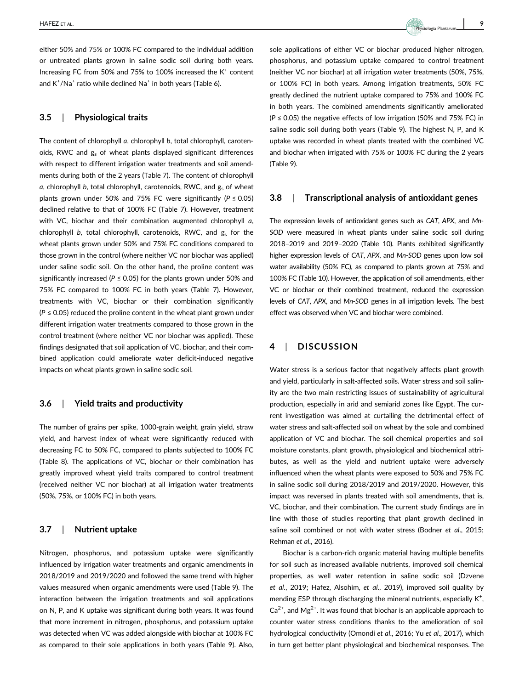either 50% and 75% or 100% FC compared to the individual addition or untreated plants grown in saline sodic soil during both years. Increasing FC from 50% and 75% to 100% increased the  $K^+$  content and  $\mathsf{K}^{\text{+}}/\mathsf{N}$ a $^{\text{+}}$  ratio while declined  $\mathsf{N}$ a $^{\text{+}}$  in both years (Table 6).

#### 3.5 | Physiological traits

The content of chlorophyll a, chlorophyll b, total chlorophyll, carotenoids, RWC and  $g_s$  of wheat plants displayed significant differences with respect to different irrigation water treatments and soil amendments during both of the 2 years (Table 7). The content of chlorophyll a, chlorophyll b, total chlorophyll, carotenoids, RWC, and  $g_s$  of wheat plants grown under 50% and 75% FC were significantly ( $P \le 0.05$ ) declined relative to that of 100% FC (Table 7). However, treatment with VC, biochar and their combination augmented chlorophyll a, chlorophyll b, total chlorophyll, carotenoids, RWC, and  $g<sub>s</sub>$  for the wheat plants grown under 50% and 75% FC conditions compared to those grown in the control (where neither VC nor biochar was applied) under saline sodic soil. On the other hand, the proline content was significantly increased ( $P \le 0.05$ ) for the plants grown under 50% and 75% FC compared to 100% FC in both years (Table 7). However, treatments with VC, biochar or their combination significantly  $(P \le 0.05)$  reduced the proline content in the wheat plant grown under different irrigation water treatments compared to those grown in the control treatment (where neither VC nor biochar was applied). These findings designated that soil application of VC, biochar, and their combined application could ameliorate water deficit-induced negative impacts on wheat plants grown in saline sodic soil.

#### 3.6 | Yield traits and productivity

The number of grains per spike, 1000-grain weight, grain yield, straw yield, and harvest index of wheat were significantly reduced with decreasing FC to 50% FC, compared to plants subjected to 100% FC (Table 8). The applications of VC, biochar or their combination has greatly improved wheat yield traits compared to control treatment (received neither VC nor biochar) at all irrigation water treatments (50%, 75%, or 100% FC) in both years.

#### 3.7 | Nutrient uptake

Nitrogen, phosphorus, and potassium uptake were significantly influenced by irrigation water treatments and organic amendments in 2018/2019 and 2019/2020 and followed the same trend with higher values measured when organic amendments were used (Table 9). The interaction between the irrigation treatments and soil applications on N, P, and K uptake was significant during both years. It was found that more increment in nitrogen, phosphorus, and potassium uptake was detected when VC was added alongside with biochar at 100% FC as compared to their sole applications in both years (Table 9). Also, sole applications of either VC or biochar produced higher nitrogen, phosphorus, and potassium uptake compared to control treatment (neither VC nor biochar) at all irrigation water treatments (50%, 75%, or 100% FC) in both years. Among irrigation treatments, 50% FC greatly declined the nutrient uptake compared to 75% and 100% FC in both years. The combined amendments significantly ameliorated ( $P \le 0.05$ ) the negative effects of low irrigation (50% and 75% FC) in saline sodic soil during both years (Table 9). The highest N, P, and K uptake was recorded in wheat plants treated with the combined VC and biochar when irrigated with 75% or 100% FC during the 2 years (Table 9).

#### 3.8 | Transcriptional analysis of antioxidant genes

The expression levels of antioxidant genes such as CAT, APX, and Mn-SOD were measured in wheat plants under saline sodic soil during 2018–2019 and 2019–2020 (Table 10). Plants exhibited significantly higher expression levels of CAT, APX, and Mn-SOD genes upon low soil water availability (50% FC), as compared to plants grown at 75% and 100% FC (Table 10). However, the application of soil amendments, either VC or biochar or their combined treatment, reduced the expression levels of CAT, APX, and Mn-SOD genes in all irrigation levels. The best effect was observed when VC and biochar were combined.

## 4 | DISCUSSION

Water stress is a serious factor that negatively affects plant growth and yield, particularly in salt-affected soils. Water stress and soil salinity are the two main restricting issues of sustainability of agricultural production, especially in arid and semiarid zones like Egypt. The current investigation was aimed at curtailing the detrimental effect of water stress and salt-affected soil on wheat by the sole and combined application of VC and biochar. The soil chemical properties and soil moisture constants, plant growth, physiological and biochemical attributes, as well as the yield and nutrient uptake were adversely influenced when the wheat plants were exposed to 50% and 75% FC in saline sodic soil during 2018/2019 and 2019/2020. However, this impact was reversed in plants treated with soil amendments, that is, VC, biochar, and their combination. The current study findings are in line with those of studies reporting that plant growth declined in saline soil combined or not with water stress (Bodner et al., 2015; Rehman et al., 2016).

Biochar is a carbon-rich organic material having multiple benefits for soil such as increased available nutrients, improved soil chemical properties, as well water retention in saline sodic soil (Dzvene et al., 2019; Hafez, Alsohim, et al., 2019), improved soil quality by mending ESP through discharging the mineral nutrients, especially  $K^+$ ,  $Ca<sup>2+</sup>$ , and Mg<sup>2+</sup>. It was found that biochar is an applicable approach to counter water stress conditions thanks to the amelioration of soil hydrological conductivity (Omondi et al., 2016; Yu et al., 2017), which in turn get better plant physiological and biochemical responses. The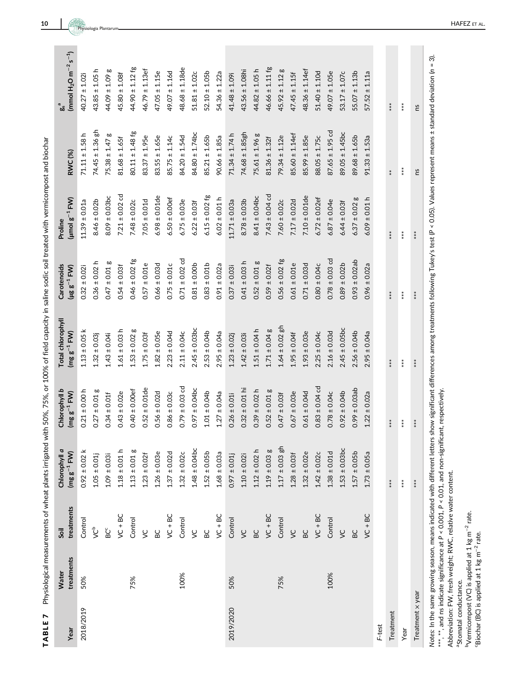TABLE 7 Physiological measurements of wheat plants irrigated with 50%, 75%, or 100% of field capacity in saline sodic soil treated with vermicompost and biochar TABLE 7 Physiological measurements of wheat plants irrigated with 50%, 75%, or 100% of field capacity in saline sodic soil treated with vermicompost and biochar

| Year             | treatments<br><b>Water</b> | treatments<br>Soil | Chlorophyll a<br>$(mg g^{-1} F W)$ | Chlorophyll b<br>$(mg g^{-1} F W)$ | Total chlorophyll<br>$(mg g^{-1}$ FW) | Carotenoids<br>$(\mu$ g g <sup>-1</sup> FW) | $(\mu$ molg <sup>-1</sup> FW)<br>Proline | RWC (%)             | (mmol $H_2O$ m <sup>-2</sup> s <sup>-1</sup> ) |
|------------------|----------------------------|--------------------|------------------------------------|------------------------------------|---------------------------------------|---------------------------------------------|------------------------------------------|---------------------|------------------------------------------------|
| 2018/2019        | 50%                        | Control            | $0.92 \pm 0.02$ k                  | $0.21 \pm 0.00$ h                  | $1.13 \pm 0.05$ k                     | $0.32 \pm 0.02i$                            | $11.39 \pm 0.01a$                        | $71.11 \pm 1.58$ h  | $40.27 \pm 1.02i$                              |
|                  |                            | ى <sup>م</sup>     | $1.05 \pm 0.01$                    | $0.27 \pm 0.01$ g                  | $1.32 \pm 0.03$                       | $0.36 \pm 0.02$ h                           | $8.46 \pm 0.02b$                         | $74.45 \pm 1.36$ gh | $43.85 \pm 1.05$ h                             |
|                  |                            | ğ                  | $1.09 \pm 0.03$                    | $0.34 \pm 0.01$ f                  | $1.43 \pm 0.04i$                      | $0.47 \pm 0.01$ g                           | $8.09 \pm 0.03$ bc                       | $75.38 \pm 1.47$ g  | $44.09 \pm 1.09$ g                             |
|                  |                            | $VC + BC$          | $1.18 \pm 0.01$ h                  | $0.43 \pm 0.02e$                   | $1.61 \pm 0.03$ h                     | $0.54 \pm 0.03$                             | $7.21 \pm 0.02$ cd                       | $81.68 \pm 1.65$ f  | $45.80 \pm 1.08f$                              |
|                  | 75%                        | Control            | $1.13 \pm 0.01$ g                  | $0.40 \pm 0.00$ ef                 | $1.53 \pm 0.02$ g                     | $0.46 \pm 0.02$ fg                          | $7.48 \pm 0.02c$                         | $80.11 \pm 1.48$ fg | $44.90 \pm 1.12$ fg                            |
|                  |                            | $\zeta$            | $1.23 \pm 0.02$ f                  | $0.52 \pm 0.01$ de                 | $1.75 \pm 0.03$ f                     | $0.57 \pm 0.01e$                            | $7.05 \pm 0.01d$                         | $83.37 \pm 1.95e$   | $46.79 \pm 1.13$ ef                            |
|                  |                            | <b>BC</b>          | $1.26 \pm 0.03e$                   | $0.56 \pm 0.02d$                   | $1.82 \pm 0.05e$                      | $0.66 \pm 0.03d$                            | $6.98 \pm 0.01$ de                       | $83.55 \pm 1.65e$   | $47.05 \pm 1.15e$                              |
|                  |                            | $VC + BC$          | $1.37 \pm 0.02d$                   | $0.86 \pm 0.03c$                   | $2.23 \pm 0.04d$                      | $0.75 \pm 0.01c$                            | $6.50 \pm 0.00$ ef                       | $85.75 \pm 1.14c$   | $49.07 \pm 1.16d$                              |
|                  | 100%                       | Control            | $1.32 \pm 0.02c$                   | $0.79 \pm 0.03$ cd                 | $2.11 \pm 0.04c$                      | $0.71 \pm 0.02$ cd                          | $6.75 \pm 0.03e$                         | $84.20 \pm 1.54d$   | $48.68 \pm 1.18$ de                            |
|                  |                            | $\zeta$            | $1.48 \pm 0.04$ bc                 | $0.97 \pm 0.04$ bc                 | $2.45 \pm 0.03$ bc                    | $0.81 \pm 0.00b$                            | $6.22 \pm 0.03$                          | $84.80 \pm 1.74$ bc | $51.81 \pm 1.02c$                              |
|                  |                            | BC                 | $1.52 \pm 0.05b$                   | $1.01 \pm 0.04b$                   | $2.53 \pm 0.04b$                      | $0.83 \pm 0.01b$                            | $6.15 \pm 0.02$ fg                       | $85.21 \pm 1.65b$   | $52.10 \pm 1.05b$                              |
|                  |                            | $VC + BC$          | $1.68 \pm 0.03a$                   | $1.27 \pm 0.04a$                   | $2.95 \pm 0.04a$                      | $0.91 \pm 0.02a$                            | $6.02 \pm 0.01$ h                        | $90.66 \pm 1.85a$   | $54.36 \pm 1.22a$                              |
| 2019/2020        | 50%                        | Control            | $0.97 \pm 0.01$ j                  | $0.26 \pm 0.01i$                   | $1.23 \pm 0.02$ j                     | $0.37 \pm 0.03i$                            | $11.71 \pm 0.03a$                        | $71.34 \pm 1.74$ h  | $41.48 \pm 1.09i$                              |
|                  |                            | $\zeta$            | $1.10 \pm 0.02i$                   | $0.32 \pm 0.01$ hi                 | $1.42 \pm 0.03$                       | $0.41 \pm 0.03$ h                           | $8.78 \pm 0.03b$                         | $74.68 \pm 1.85$ gh | $43.56 \pm 1.08$ hi                            |
|                  |                            | BC                 | $1.12 \pm 0.02$ h                  | $0.39 \pm 0.02 h$                  | $1.51 \pm 0.04$ h                     | $0.52 \pm 0.01$ g                           | $8.41 \pm 0.04$ bc                       | $75.61 \pm 1.96$ g  | $44.82 \pm 1.05$ h                             |
|                  |                            | $VC + BC$          | $1.19 \pm 0.03$ g                  | $0.52 \pm 0.01$ g                  | $1.71 \pm 0.04$ g                     | $0.59 \pm 0.02$ f                           | $7.43 \pm 0.04$ cd                       | $81.36 \pm 1.32f$   | $46.66 \pm 1.11$ fg                            |
|                  | 75%                        | Control            | $1.17 \pm 0.03$ gh                 | $0.47 \pm 0.03$ f                  | $1.64 \pm 0.02$ gh                    | $0.56 \pm 0.02$ fg                          | $7.60 \pm 0.02c$                         | $79.34 \pm 1.12e$   | $45.92 \pm 1.12$ g                             |
|                  |                            | $\zeta$            | $1.28 \pm 0.03$                    | $0.67 \pm 0.03e$                   | $1.95 \pm 0.04$ f                     | $0.61 \pm 0.01e$                            | $7.17 \pm 0.02d$                         | $85.60 \pm 1.14$ ef | $47.45 \pm 1.15f$                              |
|                  |                            | BC                 | $1.32 \pm 0.02e$                   | $0.61 \pm 0.04d$                   | $1.93 \pm 0.03e$                      | $0.71 \pm 0.03d$                            | $7.10 \pm 0.01$ de                       | $85.99 \pm 1.85e$   | $48.36 \pm 1.14$ ef                            |
|                  |                            | $VC + BC$          | $1.42 \pm 0.02c$                   | $0.83 \pm 0.04$ cd                 | $2.25 \pm 0.04c$                      | $0.80 \pm 0.04c$                            | $6.72 \pm 0.02$ ef                       | $88.05 \pm 1.75c$   | $51.40 \pm 1.10d$                              |
|                  | 100%                       | Control            | $1.38 \pm 0.01d$                   | $0.78 \pm 0.04c$                   | $2.16 \pm 0.03d$                      | $0.78 \pm 0.03$ cd                          | $6.87 \pm 0.04e$                         | $87.65 \pm 1.95$ cd | $49.07 \pm 1.05e$                              |
|                  |                            | $\zeta$            | $1.53 \pm 0.03$ bc                 | $0.92 \pm 0.04b$                   | $2.45 \pm 0.05$ bc                    | $0.89 \pm 0.02b$                            | $6.44 \pm 0.03$ f                        | $89.05 \pm 1.45$ bc | $53.17 \pm 1.07c$                              |
|                  |                            | BC                 | $1.57 \pm 0.05b$                   | $0.99 \pm 0.03$ ab                 | $2.56 \pm 0.04b$                      | $0.93 \pm 0.02$ ab                          | $6.37 \pm 0.02$ g                        | $89.68 \pm 1.65b$   | $55.07 \pm 1.13b$                              |
|                  |                            | $VC + BC$          | $1.73 \pm 0.05a$                   | $1.22 \pm 0.02a$                   | $2.95 \pm 0.04a$                      | $0.96 \pm 0.02a$                            | $6.09 \pm 0.01 h$                        | $91.33 \pm 1.53a$   | $57.52 \pm 1.11a$                              |
| F-test           |                            |                    |                                    |                                    |                                       |                                             |                                          |                     |                                                |
| Treatment        |                            |                    | ***                                | ***                                | ***                                   | ****                                        | $***$                                    | $*$                 | ****                                           |
| Year             |                            |                    | $***$                              | $***$                              | $***$                                 | $***$                                       | $***$                                    | $**\ast$            | $***$                                          |
| Treatment x year |                            |                    | $**$                               | $**\n*$                            | $**\n$                                | $**\n*$                                     | $**\n*$                                  | ns                  | Σu                                             |
|                  |                            |                    |                                    |                                    |                                       |                                             |                                          |                     |                                                |

Notes: In the same growing season, means indicated with different letters show significant differences among treatments following Tukey's test (P < 0.05). Values represent means ± standard deviation (n = 3). Notes: In the same growing season, means indicated with different letters show significant differences among treatments following Tukey's test (P < 0.05). Values represent means ± standard deviation (n = 3). \*\*\*\*, \*\*\*, and ns indicate significance at P < 0.001, P < 0.01, and non-significant, respectively. \*\*\*,  $^*$  and ns indicate significance at P < 0.001, P < 0.01, and non-significant, respectively.

Abbreviation: FW, fresh weight; RWC, relative water content. Abbreviation: FW, fresh weight; RWC, relative water content.

a<sub>Stomatal</sub> conductance. aStomatal conductance.

<sup>b</sup>Vermicompost (VC) is applied at 1 kg m<sup>-2</sup> rate. bVermicompost (VC) is applied at 1 kg m−2 rate. "Biochar (BC) is applied at 1 kg m<sup>-2</sup> rate. cBiochar (BC) is applied at 1 kg m−2 rate.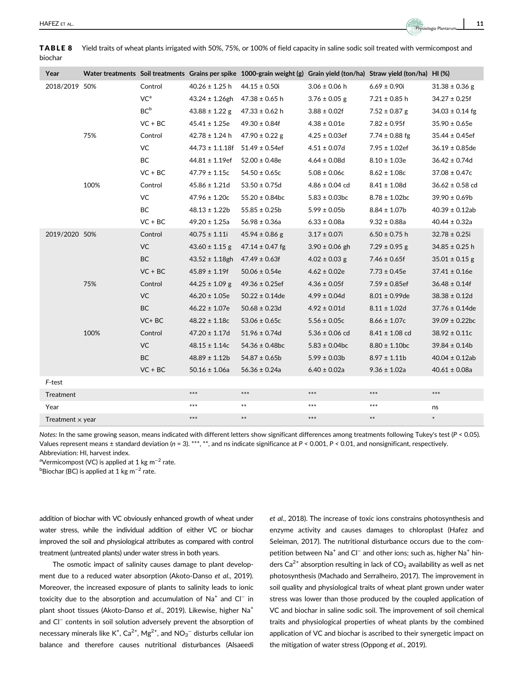| <b>TABLE 8</b><br>biochar |                 |                     | Yield traits of wheat plants irrigated with 50%, 75%, or 100% of field capacity in saline sodic soil treated with vermicompost and |                   |                   |                     |
|---------------------------|-----------------|---------------------|------------------------------------------------------------------------------------------------------------------------------------|-------------------|-------------------|---------------------|
| Year                      |                 |                     | Water treatments Soil treatments Grains per spike 1000-grain weight (g) Grain yield (ton/ha) Straw yield (ton/ha) HI (%)           |                   |                   |                     |
| 2018/2019 50%             | Control         | $40.26 \pm 1.25$ h  | $44.15 \pm 0.50$ i                                                                                                                 | $3.06 \pm 0.06$ h | $6.69 \pm 0.90$ i | $31.38 \pm 0.36$ g  |
|                           | VC <sup>a</sup> | $43.24 \pm 1.26$ gh | 47.38 ± 0.65 h                                                                                                                     | $3.76 \pm 0.05$ g | $7.21 \pm 0.85$ h | $34.27 \pm 0.25f$   |
|                           | BC <sup>b</sup> | $43.88 \pm 1.22$ g  | 47.33 ± 0.62 h                                                                                                                     | $3.88 \pm 0.02$ f | $7.52 \pm 0.87$ g | $34.03 \pm 0.14$ fg |

75% Control 42.78 ± 1.24 h 47.90 ± 0.22 g 4.25 ± 0.03ef 7.74 ± 0.88 fg 35.44 ± 0.45ef

100% Control 45.86 ± 1.21d 53.50 ± 0.75d 4.86 ± 0.04 cd 8.41 ± 1.08d 36.62 ± 0.58 cd

75% Control 44.25 ± 1.09 g 49.36 ± 0.25ef 4.36 ± 0.05f 7.59 ± 0.85ef 36.48 ± 0.14f

100% Control 47.20 ± 1.17d 51.96 ± 0.74d 5.36 ± 0.06 cd 8.41 ± 1.08 cd 38.92 ± 0.11c

 $2019/2020\,50\%$  Control  $40.75 \pm 1.11$   $45.94 \pm 0.86$   $3.17 \pm 0.07$   $6.50 \pm 0.75$  h  $32.78 \pm 0.25$ i

VC + BC  $45.41 \pm 1.25$ e  $49.30 \pm 0.84$ f  $4.38 \pm 0.01$ e  $7.82 \pm 0.95$ f  $35.90 \pm 0.65$ e

VC 44.73 ± 1.1.18f 51.49 ± 0.54ef 4.51 ± 0.07d 7.95 ± 1.02ef 36.19 ± 0.85de BC 44.81  $\pm$  1.19ef 52.00  $\pm$  0.48e 4.64  $\pm$  0.08d 8.10  $\pm$  1.03e 36.42  $\pm$  0.74d VC + BC  $47.79 \pm 1.15c$   $54.50 \pm 0.65c$   $5.08 \pm 0.06c$   $8.62 \pm 1.08c$   $37.08 \pm 0.47c$ 

VC  $47.96 \pm 1.20c$   $55.20 \pm 0.84bc$   $5.83 \pm 0.03bc$   $8.78 \pm 1.02bc$   $39.90 \pm 0.69b$ BC 48.13 ± 1.22b 55.85 ± 0.25b 5.99 ± 0.05b 8.84 ± 1.07b 40.39 ± 0.12ab  $VC + BC$  49.20 ± 1.25a 56.98 ± 0.36a 6.33 ± 0.08a 9.32 ± 0.88a 40.44 ± 0.32a

VC  $43.60 \pm 1.15$  g  $47.14 \pm 0.47$  fg  $3.90 \pm 0.06$  gh  $7.29 \pm 0.95$  g  $34.85 \pm 0.25$  h BC  $43.52 \pm 1.18$ gh  $47.49 \pm 0.63$ f  $4.02 \pm 0.03$  g  $7.46 \pm 0.65$ f  $35.01 \pm 0.15$  g  $\text{VC} + \text{BC}$   $\text{45.89} \pm \text{1.19f}$   $\text{50.06} \pm \text{0.54e}$   $\text{4.62} \pm \text{0.02e}$   $\text{7.73} \pm \text{0.45e}$   $\text{37.41} \pm \text{0.16e}$ 

VC  $46.20 \pm 1.05e$   $50.22 \pm 0.14de$   $4.99 \pm 0.04d$   $8.01 \pm 0.99de$   $38.38 \pm 0.12d$ BC  $46.22 \pm 1.07e$   $50.68 \pm 0.23d$   $4.92 \pm 0.01d$   $8.11 \pm 1.02d$   $37.76 \pm 0.14de$  $V$ C + BC 48.22 ± 1.18c 53.06 ± 0.65c 5.56 ± 0.05c 8.66 ± 1.07c 39.09 ± 0.22bc

VC  $48.15 \pm 1.14c$   $54.36 \pm 0.48bc$   $5.83 \pm 0.04bc$   $8.80 \pm 1.10bc$   $39.84 \pm 0.14b$ BC  $48.89 \pm 1.12b$   $54.87 \pm 0.65b$   $5.99 \pm 0.03b$   $8.97 \pm 1.11b$   $40.04 \pm 0.12ab$  $VC + BC$  50.16 ± 1.06a 56.36 ± 0.24a 6.40 ± 0.02a 9.36 ± 1.02a 40.61 ± 0.08a

Notes: In the same growing season, means indicated with different letters show significant differences among treatments following Tukey's test ( $P < 0.05$ ). Values represent means ± standard deviation ( $n = 3$ ). \*\*\*, \*\*, and ns indicate significance at  $P < 0.001$ ,  $P < 0.01$ , and nonsignificant, respectively. Abbreviation: HI, harvest index.

Treatment \*\*\* \*\*\* \*\*\* \*\*\* \*\*\* Year \*\*\* \*\* \*\*\* \*\*\* ns

Treatment × year \*\*\* \*\* \*\*\* \*\* \*

<sup>a</sup>Vermicompost (VC) is applied at 1 kg m<sup>−2</sup> rate.

 $^{\rm b}$ Biochar (BC) is applied at 1 kg m $^{-2}$  rate.

F-test

addition of biochar with VC obviously enhanced growth of wheat under water stress, while the individual addition of either VC or biochar improved the soil and physiological attributes as compared with control treatment (untreated plants) under water stress in both years.

The osmotic impact of salinity causes damage to plant development due to a reduced water absorption (Akoto-Danso et al., 2019). Moreover, the increased exposure of plants to salinity leads to ionic toxicity due to the absorption and accumulation of Na<sup>+</sup> and Cl<sup>−</sup> in plant shoot tissues (Akoto-Danso et al., 2019). Likewise, higher Na<sup>+</sup> and Cl<sup>−</sup> contents in soil solution adversely prevent the absorption of necessary minerals like K $^+$ , Ca $^{2+}$ , Mg $^{2+}$ , and NO $_3^-$  disturbs cellular ion balance and therefore causes nutritional disturbances (Alsaeedi et al., 2018). The increase of toxic ions constrains photosynthesis and enzyme activity and causes damages to chloroplast (Hafez and Seleiman, 2017). The nutritional disturbance occurs due to the competition between Na<sup>+</sup> and Cl<sup>−</sup> and other ions; such as, higher Na<sup>+</sup> hinders  $Ca^{2+}$  absorption resulting in lack of  $CO<sub>2</sub>$  availability as well as net photosynthesis (Machado and Serralheiro, 2017). The improvement in soil quality and physiological traits of wheat plant grown under water stress was lower than those produced by the coupled application of VC and biochar in saline sodic soil. The improvement of soil chemical traits and physiological properties of wheat plants by the combined application of VC and biochar is ascribed to their synergetic impact on the mitigation of water stress (Oppong et al., 2019).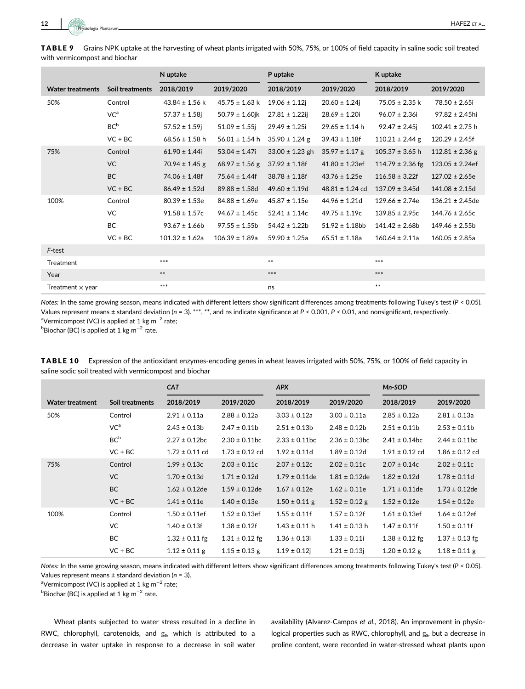TABLE 9 Grains NPK uptake at the harvesting of wheat plants irrigated with 50%, 75%, or 100% of field capacity in saline sodic soil treated with vermicompost and biochar

|                         |                 | N uptake           |                     | P uptake            |                     | K uptake             |                      |
|-------------------------|-----------------|--------------------|---------------------|---------------------|---------------------|----------------------|----------------------|
| <b>Water treatments</b> | Soil treatments | 2018/2019          | 2019/2020           | 2018/2019           | 2019/2020           | 2018/2019            | 2019/2020            |
| 50%                     | Control         | $43.84 \pm 1.56$ k | $45.75 \pm 1.63$ k  | $19.06 \pm 1.12$ j  | $20.60 \pm 1.24$ j  | $75.05 \pm 2.35$ k   | $78.50 \pm 2.65$ i   |
|                         | VC <sup>a</sup> | $57.37 \pm 1.58$ j | $50.79 \pm 1.60$ jk | $27.81 \pm 1.22$ ij | $28.69 \pm 1.20$ i  | $96.07 \pm 2.36$ i   | $97.82 \pm 2.45$ hi  |
|                         | BC <sup>b</sup> | $57.52 \pm 1.59$ j | $51.09 \pm 1.55$ j  | $29.49 \pm 1.25i$   | $29.65 \pm 1.14$ h  | $92.47 \pm 2.45$ j   | $102.41 \pm 2.75$ h  |
|                         | $VC + BC$       | $68.56 \pm 1.58$ h | $56.01 \pm 1.54$ h  | $35.90 \pm 1.24$ g  | $39.43 \pm 1.18f$   | $110.21 \pm 2.44$ g  | $120.29 \pm 2.45f$   |
| 75%                     | Control         | $61.90 \pm 1.44i$  | $53.04 \pm 1.47i$   | $33.00 \pm 1.23$ gh | $35.97 \pm 1.17$ g  | $105.37 \pm 3.65$ h  | $112.81 \pm 2.36$ g  |
|                         | <b>VC</b>       | $70.94 \pm 1.45$ g | $68.97 \pm 1.56$ g  | $37.92 \pm 1.18f$   | $41.80 \pm 1.23$ ef | $114.79 \pm 2.36$ fg | $123.05 \pm 2.24$ ef |
|                         | <b>BC</b>       | $74.06 \pm 1.48f$  | $75.64 \pm 1.44f$   | $38.78 \pm 1.18f$   | $43.76 \pm 1.25e$   | $116.58 \pm 3.22f$   | $127.02 \pm 2.65e$   |
|                         | $VC + BC$       | $86.49 \pm 1.52d$  | $89.88 \pm 1.58$ d  | $49.60 \pm 1.19$ d  | $48.81 \pm 1.24$ cd | $137.09 \pm 3.45$ d  | $141.08 \pm 2.15$ d  |
| 100%                    | Control         | $80.39 \pm 1.53e$  | $84.88 \pm 1.69e$   | $45.87 \pm 1.15e$   | $44.96 \pm 1.21d$   | $129.66 \pm 2.74e$   | $136.21 \pm 2.45$ de |
|                         | VC              | $91.58 \pm 1.57c$  | $94.67 \pm 1.45c$   | $52.41 \pm 1.14c$   | $49.75 \pm 1.19c$   | $139.85 \pm 2.95c$   | $144.76 \pm 2.65c$   |
|                         | BC              | $93.67 \pm 1.66b$  | $97.55 \pm 1.55b$   | $54.42 \pm 1.22$ b  | $51.92 \pm 1.18$ bb | $141.42 \pm 2.68$ b  | $149.46 \pm 2.55$ b  |
|                         | $VC + BC$       | $101.32 \pm 1.62a$ | $106.39 \pm 1.89a$  | $59.90 \pm 1.25a$   | $65.51 \pm 1.18a$   | $160.64 \pm 2.11a$   | $160.05 \pm 2.85a$   |
| F-test                  |                 |                    |                     |                     |                     |                      |                      |
| Treatment               |                 | $***$              |                     | $***$               |                     | $***$                |                      |
| Year                    |                 | $***$              |                     | ***                 |                     | $***$                |                      |
| Treatment $\times$ year |                 | $***$              |                     | ns                  |                     | $**$                 |                      |

Notes: In the same growing season, means indicated with different letters show significant differences among treatments following Tukey's test (P < 0.05). Values represent means  $\pm$  standard deviation (n = 3). \*\*\*, \*\*, and ns indicate significance at P < 0.001, P < 0.01, and nonsignificant, respectively. <sup>a</sup>Vermicompost (VC) is applied at 1 kg m<sup>−2</sup> rate;

 $^{\rm b}$ Biochar (BC) is applied at 1 kg m $^{-2}$  rate.

| TABLE 10 Expression of the antioxidant enzymes-encoding genes in wheat leaves irrigated with 50%, 75%, or 100% of field capacity in |
|-------------------------------------------------------------------------------------------------------------------------------------|
| saline sodic soil treated with vermicompost and biochar                                                                             |

|                        |                 | <b>CAT</b>         |                    | <b>APX</b>         |                    | Mn-SOD             |                    |
|------------------------|-----------------|--------------------|--------------------|--------------------|--------------------|--------------------|--------------------|
| <b>Water treatment</b> | Soil treatments | 2018/2019          | 2019/2020          | 2018/2019          | 2019/2020          | 2018/2019          | 2019/2020          |
| 50%                    | Control         | $2.91 \pm 0.11a$   | $2.88 \pm 0.12a$   | $3.03 \pm 0.12a$   | $3.00 \pm 0.11a$   | $2.85 \pm 0.12a$   | $2.81 \pm 0.13a$   |
|                        | VC <sup>a</sup> | $2.43 \pm 0.13b$   | $2.47 \pm 0.11b$   | $2.51 \pm 0.13b$   | $2.48 \pm 0.12b$   | $2.51 \pm 0.11$ b  | $2.53 \pm 0.11$ b  |
|                        | BC <sup>b</sup> | $2.27 \pm 0.12$ bc | $2.30 \pm 0.11$ bc | $2.33 \pm 0.11$ bc | $2.36 \pm 0.13$ bc | $2.41 \pm 0.14$ bc | $2.44 \pm 0.11$ bc |
|                        | $VC + BC$       | $1.72 \pm 0.11$ cd | $1.73 \pm 0.12$ cd | $1.92 \pm 0.11d$   | $1.89 \pm 0.12d$   | $1.91 \pm 0.12$ cd | $1.86 \pm 0.12$ cd |
| 75%                    | Control         | $1.99 \pm 0.13c$   | $2.03 \pm 0.11c$   | $2.07 \pm 0.12c$   | $2.02 \pm 0.11c$   | $2.07 \pm 0.14c$   | $2.02 \pm 0.11c$   |
|                        | <b>VC</b>       | $1.70 \pm 0.13$ d  | $1.71 \pm 0.12$ d  | $1.79 \pm 0.11$ de | $1.81 \pm 0.12$ de | $1.82 \pm 0.12d$   | $1.78 \pm 0.11d$   |
|                        | <b>BC</b>       | $1.62 \pm 0.12$ de | $1.59 \pm 0.12$ de | $1.67 \pm 0.12e$   | $1.62 \pm 0.11e$   | $1.71 \pm 0.11$ de | $1.73 \pm 0.12$ de |
|                        | $VC + BC$       | $1.41 \pm 0.11e$   | $1.40 \pm 0.13e$   | $1.50 \pm 0.11$ g  | $1.52 \pm 0.12$ g  | $1.52 \pm 0.12e$   | $1.54 \pm 0.12e$   |
| 100%                   | Control         | $1.50 \pm 0.11$ ef | $1.52 \pm 0.13$ ef | $1.55 \pm 0.11$ f  | $1.57 \pm 0.12f$   | $1.61 \pm 0.13$ ef | $1.64 \pm 0.12$ ef |
|                        | VC              | $1.40 \pm 0.13f$   | $1.38 \pm 0.12f$   | $1.43 \pm 0.11$ h  | $1.41 \pm 0.13$ h  | $1.47 \pm 0.11$ f  | $1.50 \pm 0.11$ f  |
|                        | BC              | $1.32 \pm 0.11$ fg | $1.31 \pm 0.12$ fg | $1.36 \pm 0.13i$   | $1.33 \pm 0.11i$   | $1.38 \pm 0.12$ fg | $1.37 \pm 0.13$ fg |
|                        | $VC + BC$       | $1.12 \pm 0.11$ g  | $1.15 \pm 0.13$ g  | $1.19 \pm 0.12$ j  | $1.21 \pm 0.13$ j  | $1.20 \pm 0.12$ g  | $1.18 \pm 0.11$ g  |

Notes: In the same growing season, means indicated with different letters show significant differences among treatments following Tukey's test (P < 0.05). Values represent means  $\pm$  standard deviation ( $n = 3$ ).

<sup>a</sup>Vermicompost (VC) is applied at 1 kg m<sup>−2</sup> rate;

 $^{\rm b}$ Biochar (BC) is applied at 1 kg m $^{-2}$  rate.

Wheat plants subjected to water stress resulted in a decline in RWC, chlorophyll, carotenoids, and g<sub>s</sub>, which is attributed to a decrease in water uptake in response to a decrease in soil water availability (Alvarez-Campos et al., 2018). An improvement in physiological properties such as RWC, chlorophyll, and g<sub>s</sub>, but a decrease in proline content, were recorded in water-stressed wheat plants upon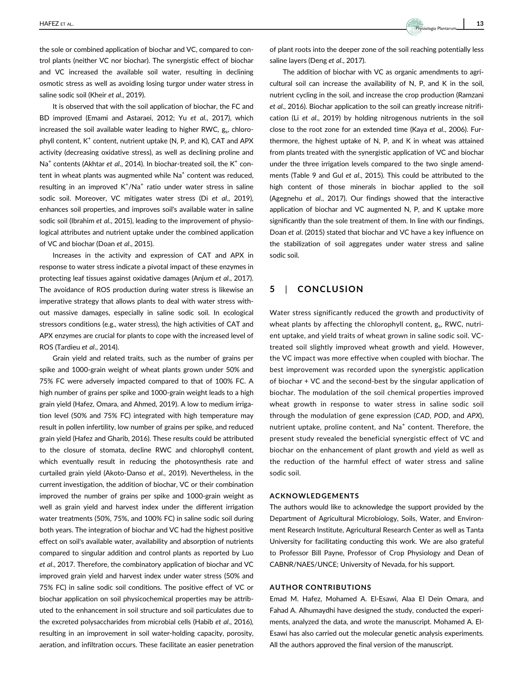the sole or combined application of biochar and VC, compared to control plants (neither VC nor biochar). The synergistic effect of biochar and VC increased the available soil water, resulting in declining osmotic stress as well as avoiding losing turgor under water stress in saline sodic soil (Kheir et al., 2019).

It is observed that with the soil application of biochar, the FC and BD improved (Emami and Astaraei, 2012; Yu et al., 2017), which increased the soil available water leading to higher RWC,  $g_s$ , chlorophyll content,  $K^+$  content, nutrient uptake (N, P, and K), CAT and APX activity (decreasing oxidative stress), as well as declining proline and  $Na<sup>+</sup>$  contents (Akhtar et al., 2014). In biochar-treated soil, the K<sup>+</sup> content in wheat plants was augmented while  $Na<sup>+</sup>$  content was reduced. resulting in an improved K<sup>+</sup>/Na<sup>+</sup> ratio under water stress in saline sodic soil. Moreover, VC mitigates water stress (Di et al., 2019), enhances soil properties, and improves soil's available water in saline sodic soil (Ibrahim et al., 2015), leading to the improvement of physiological attributes and nutrient uptake under the combined application of VC and biochar (Doan et al., 2015).

Increases in the activity and expression of CAT and APX in response to water stress indicate a pivotal impact of these enzymes in protecting leaf tissues against oxidative damages (Anjum et al., 2017). The avoidance of ROS production during water stress is likewise an imperative strategy that allows plants to deal with water stress without massive damages, especially in saline sodic soil. In ecological stressors conditions (e.g., water stress), the high activities of CAT and APX enzymes are crucial for plants to cope with the increased level of ROS (Tardieu et al., 2014).

Grain yield and related traits, such as the number of grains per spike and 1000-grain weight of wheat plants grown under 50% and 75% FC were adversely impacted compared to that of 100% FC. A high number of grains per spike and 1000-grain weight leads to a high grain yield (Hafez, Omara, and Ahmed, 2019). A low to medium irrigation level (50% and 75% FC) integrated with high temperature may result in pollen infertility, low number of grains per spike, and reduced grain yield (Hafez and Gharib, 2016). These results could be attributed to the closure of stomata, decline RWC and chlorophyll content, which eventually result in reducing the photosynthesis rate and curtailed grain yield (Akoto-Danso et al., 2019). Nevertheless, in the current investigation, the addition of biochar, VC or their combination improved the number of grains per spike and 1000-grain weight as well as grain yield and harvest index under the different irrigation water treatments (50%, 75%, and 100% FC) in saline sodic soil during both years. The integration of biochar and VC had the highest positive effect on soil's available water, availability and absorption of nutrients compared to singular addition and control plants as reported by Luo et al., 2017. Therefore, the combinatory application of biochar and VC improved grain yield and harvest index under water stress (50% and 75% FC) in saline sodic soil conditions. The positive effect of VC or biochar application on soil physicochemical properties may be attributed to the enhancement in soil structure and soil particulates due to the excreted polysaccharides from microbial cells (Habib et al., 2016), resulting in an improvement in soil water-holding capacity, porosity, aeration, and infiltration occurs. These facilitate an easier penetration

Physiologia Plantarum

of plant roots into the deeper zone of the soil reaching potentially less saline layers (Deng et al., 2017).

The addition of biochar with VC as organic amendments to agricultural soil can increase the availability of N, P, and K in the soil, nutrient cycling in the soil, and increase the crop production (Ramzani et al., 2016). Biochar application to the soil can greatly increase nitrification (Li et al., 2019) by holding nitrogenous nutrients in the soil close to the root zone for an extended time (Kaya et al., 2006). Furthermore, the highest uptake of N, P, and K in wheat was attained from plants treated with the synergistic application of VC and biochar under the three irrigation levels compared to the two single amendments (Table 9 and Gul et al., 2015). This could be attributed to the high content of those minerals in biochar applied to the soil (Agegnehu et al., 2017). Our findings showed that the interactive application of biochar and VC augmented N, P, and K uptake more significantly than the sole treatment of them. In line with our findings, Doan et al. (2015) stated that biochar and VC have a key influence on the stabilization of soil aggregates under water stress and saline sodic soil.

## 5 | CONCLUSION

Water stress significantly reduced the growth and productivity of wheat plants by affecting the chlorophyll content,  $g_s$ , RWC, nutrient uptake, and yield traits of wheat grown in saline sodic soil. VCtreated soil slightly improved wheat growth and yield. However, the VC impact was more effective when coupled with biochar. The best improvement was recorded upon the synergistic application of biochar + VC and the second-best by the singular application of biochar. The modulation of the soil chemical properties improved wheat growth in response to water stress in saline sodic soil through the modulation of gene expression (CAD, POD, and APX), nutrient uptake, proline content, and  $Na<sup>+</sup>$  content. Therefore, the present study revealed the beneficial synergistic effect of VC and biochar on the enhancement of plant growth and yield as well as the reduction of the harmful effect of water stress and saline sodic soil.

#### ACKNOWLEDGEMENTS

The authors would like to acknowledge the support provided by the Department of Agricultural Microbiology, Soils, Water, and Environment Research Institute, Agricultural Research Center as well as Tanta University for facilitating conducting this work. We are also grateful to Professor Bill Payne, Professor of Crop Physiology and Dean of CABNR/NAES/UNCE; University of Nevada, for his support.

#### AUTHOR CONTRIBUTIONS

Emad M. Hafez, Mohamed A. El-Esawi, Alaa El Dein Omara, and Fahad A. Alhumaydhi have designed the study, conducted the experiments, analyzed the data, and wrote the manuscript. Mohamed A. El-Esawi has also carried out the molecular genetic analysis experiments. All the authors approved the final version of the manuscript.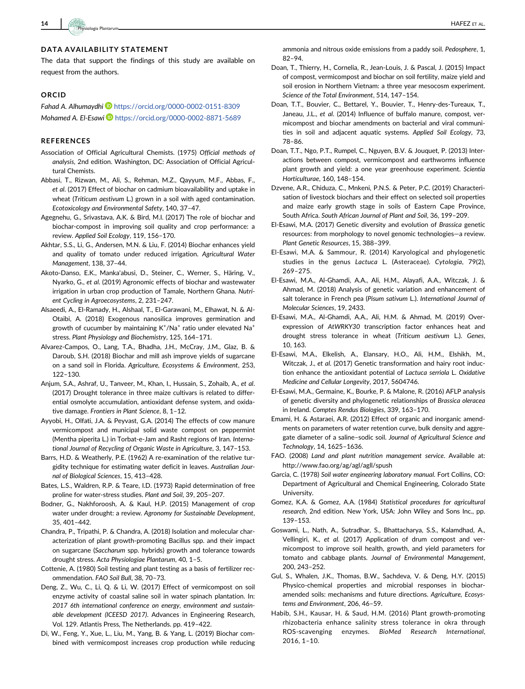The data that support the findings of this study are available on request from the authors.

#### ORCID

Fahad A. Alhumaydhi <https://orcid.org/0000-0002-0151-8309> Mohamed A. El-Esawi <https://orcid.org/0000-0002-8871-5689>

#### **REFERENCES**

- Association of Official Agricultural Chemists. (1975) Official methods of analysis, 2nd edition. Washington, DC: Association of Official Agricultural Chemists.
- Abbasi, T., Rizwan, M., Ali, S., Rehman, M.Z., Qayyum, M.F., Abbas, F., et al. (2017) Effect of biochar on cadmium bioavailability and uptake in wheat (Triticum aestivum L.) grown in a soil with aged contamination. Ecotoxicology and Environmental Safety, 140, 37–47.
- Agegnehu, G., Srivastava, A.K. & Bird, M.I. (2017) The role of biochar and biochar-compost in improving soil quality and crop performance: a review. Applied Soil Ecology, 119, 156–170.
- Akhtar, S.S., Li, G., Andersen, M.N. & Liu, F. (2014) Biochar enhances yield and quality of tomato under reduced irrigation. Agricultural Water Management, 138, 37–44.
- Akoto-Danso, E.K., Manka'abusi, D., Steiner, C., Werner, S., Häring, V., Nyarko, G., et al. (2019) Agronomic effects of biochar and wastewater irrigation in urban crop production of Tamale, Northern Ghana. Nutrient Cycling in Agroecosystems, 2, 231–247.
- Alsaeedi, A., El-Ramady, H., Alshaal, T., El-Garawani, M., Elhawat, N. & Al-Otaibi, A. (2018) Exogenous nanosilica improves germination and growth of cucumber by maintaining  $K^{\dagger}/\mathrm{Na}^{\dagger}$  ratio under elevated  $\mathrm{Na}^{\dagger}$ stress. Plant Physiology and Biochemistry, 125, 164–171.
- Alvarez-Campos, O., Lang, T.A., Bhadha, J.H., McCray, J.M., Glaz, B. & Daroub, S.H. (2018) Biochar and mill ash improve yields of sugarcane on a sand soil in Florida. Agriculture, Ecosystems & Environment, 253, 122–130.
- Anjum, S.A., Ashraf, U., Tanveer, M., Khan, I., Hussain, S., Zohaib, A., et al. (2017) Drought tolerance in three maize cultivars is related to differential osmolyte accumulation, antioxidant defense system, and oxidative damage. Frontiers in Plant Science, 8, 1–12.
- Ayyobi, H., Olfati, J.A. & Peyvast, G.A. (2014) The effects of cow manure vermicompost and municipal solid waste compost on peppermint (Mentha piperita L.) in Torbat-e-Jam and Rasht regions of Iran. International Journal of Recycling of Organic Waste in Agriculture, 3, 147–153.
- Barrs, H.D. & Weatherly, P.E. (1962) A re-examination of the relative turgidity technique for estimating water deficit in leaves. Australian Journal of Biological Sciences, 15, 413–428.
- Bates, L.S., Waldren, R.P. & Teare, I.D. (1973) Rapid determination of free proline for water-stress studies. Plant and Soil, 39, 205–207.
- Bodner, G., Nakhforoosh, A. & Kaul, H.P. (2015) Management of crop water under drought: a review. Agronomy for Sustainable Development, 35, 401–442.
- Chandra, P., Tripathi, P. & Chandra, A. (2018) Isolation and molecular characterization of plant growth-promoting Bacillus spp. and their impact on sugarcane (Saccharum spp. hybrids) growth and tolerance towards drought stress. Acta Physiologiae Plantarum, 40, 1–5.
- Cottenie, A. (1980) Soil testing and plant testing as a basis of fertilizer recommendation. FAO Soil Bull, 38, 70–73.
- Deng, Z., Wu, C., Li, Q. & Li, W. (2017) Effect of vermicompost on soil enzyme activity of coastal saline soil in water spinach plantation. In: 2017 6th international conference on energy, environment and sustainable development (ICEESD 2017). Advances in Engineering Research, Vol. 129. Atlantis Press, The Netherlands. pp. 419–422.
- Di, W., Feng, Y., Xue, L., Liu, M., Yang, B. & Yang, L. (2019) Biochar combined with vermicompost increases crop production while reducing

ammonia and nitrous oxide emissions from a paddy soil. Pedosphere, 1, 82–94.

- Doan, T., Thierry, H., Cornelia, R., Jean-Louis, J. & Pascal, J. (2015) Impact of compost, vermicompost and biochar on soil fertility, maize yield and soil erosion in Northern Vietnam: a three year mesocosm experiment. Science of the Total Environment, 514, 147–154.
- Doan, T.T., Bouvier, C., Bettarel, Y., Bouvier, T., Henry-des-Tureaux, T., Janeau, J.L., et al. (2014) Influence of buffalo manure, compost, vermicompost and biochar amendments on bacterial and viral communities in soil and adjacent aquatic systems. Applied Soil Ecology, 73, 78–86.
- Doan, T.T., Ngo, P.T., Rumpel, C., Nguyen, B.V. & Jouquet, P. (2013) Interactions between compost, vermicompost and earthworms influence plant growth and yield: a one year greenhouse experiment. Scientia Horticulturae, 160, 148–154.
- Dzvene, A.R., Chiduza, C., Mnkeni, P.N.S. & Peter, P.C. (2019) Characterisation of livestock biochars and their effect on selected soil properties and maize early growth stage in soils of Eastern Cape Province, South Africa. South African Journal of Plant and Soil, 36, 199–209.
- El-Esawi, M.A. (2017) Genetic diversity and evolution of Brassica genetic resources: from morphology to novel genomic technologies—a review. Plant Genetic Resources, 15, 388–399.
- El-Esawi, M.A. & Sammour, R. (2014) Karyological and phylogenetic studies in the genus Lactuca L. (Asteraceae). Cytologia, 79(2), 269–275.
- El-Esawi, M.A., Al-Ghamdi, A.A., Ali, H.M., Alayafi, A.A., Witczak, J. & Ahmad, M. (2018) Analysis of genetic variation and enhancement of salt tolerance in French pea (Pisum sativum L.). International Journal of Molecular Sciences, 19, 2433.
- El-Esawi, M.A., Al-Ghamdi, A.A., Ali, H.M. & Ahmad, M. (2019) Overexpression of AtWRKY30 transcription factor enhances heat and drought stress tolerance in wheat (Triticum aestivum L.). Genes, 10, 163.
- El-Esawi, M.A., Elkelish, A., Elansary, H.O., Ali, H.M., Elshikh, M., Witczak, J., et al. (2017) Genetic transformation and hairy root induction enhance the antioxidant potential of Lactuca serriola L. Oxidative Medicine and Cellular Longevity, 2017, 5604746.
- El-Esawi, M.A., Germaine, K., Bourke, P. & Malone, R. (2016) AFLP analysis of genetic diversity and phylogenetic relationships of Brassica oleracea in Ireland. Comptes Rendus Biologies, 339, 163–170.
- Emami, H. & Astaraei, A.R. (2012) Effect of organic and inorganic amendments on parameters of water retention curve, bulk density and aggregate diameter of a saline–sodic soil. Journal of Agricultural Science and Technology, 14, 1625–1636.
- FAO. (2008) Land and plant nutrition management service. Available at: <http://www.fao.org/ag/agl/agll/spush>
- Garcia, C. (1978) Soil water engineering laboratory manual. Fort Collins, CO: Department of Agricultural and Chemical Engineering, Colorado State University.
- Gomez, K.A. & Gomez, A.A. (1984) Statistical procedures for agricultural research, 2nd edition. New York, USA: John Wiley and Sons Inc., pp. 139–153.
- Goswami, L., Nath, A., Sutradhar, S., Bhattacharya, S.S., Kalamdhad, A., Vellingiri, K., et al. (2017) Application of drum compost and vermicompost to improve soil health, growth, and yield parameters for tomato and cabbage plants. Journal of Environmental Management, 200, 243–252.
- Gul, S., Whalen, J.K., Thomas, B.W., Sachdeva, V. & Deng, H.Y. (2015) Physico-chemical properties and microbial responses in biocharamended soils: mechanisms and future directions. Agriculture, Ecosystems and Environment, 206, 46–59.
- Habib, S.H., Kausar, H. & Saud, H.M. (2016) Plant growth-promoting rhizobacteria enhance salinity stress tolerance in okra through ROS-scavenging enzymes. BioMed Research International, 2016, 1–10.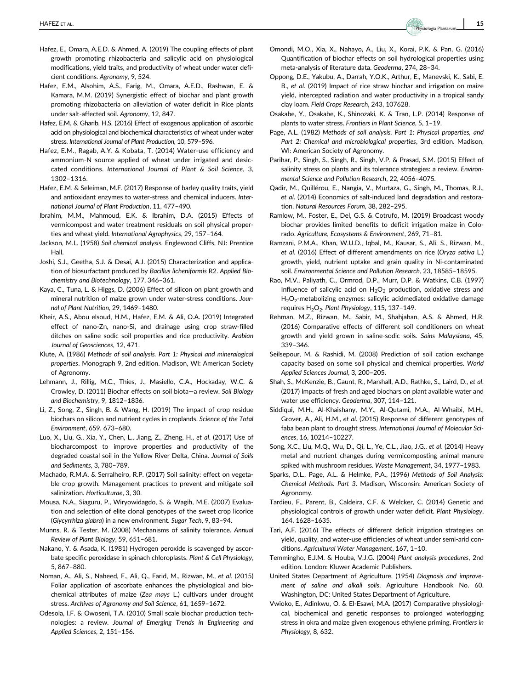- Hafez, E., Omara, A.E.D. & Ahmed, A. (2019) The coupling effects of plant growth promoting rhizobacteria and salicylic acid on physiological modifications, yield traits, and productivity of wheat under water deficient conditions. Agronomy, 9, 524.
- Hafez, E.M., Alsohim, A.S., Farig, M., Omara, A.E.D., Rashwan, E. & Kamara, M.M. (2019) Synergistic effect of biochar and plant growth promoting rhizobacteria on alleviation of water deficit in Rice plants under salt-affected soil. Agronomy, 12, 847.
- Hafez, E.M. & Gharib, H.S. (2016) Effect of exogenous application of ascorbic acid on physiological and biochemical characteristics of wheat under water stress. International Journal of Plant Production, 10, 579–596.
- Hafez, E.M., Ragab, A.Y. & Kobata, T. (2014) Water-use efficiency and ammonium-N source applied of wheat under irrigated and desiccated conditions. International Journal of Plant & Soil Science, 3, 1302–1316.
- Hafez, E.M. & Seleiman, M.F. (2017) Response of barley quality traits, yield and antioxidant enzymes to water-stress and chemical inducers. International Journal of Plant Production, 11, 477–490.
- Ibrahim, M.M., Mahmoud, E.K. & Ibrahim, D.A. (2015) Effects of vermicompost and water treatment residuals on soil physical properties and wheat yield. International Agrophysics, 29, 157–164.
- Jackson, M.L. (1958) Soil chemical analysis. Englewood Cliffs, NJ: Prentice Hall.
- Joshi, S.J., Geetha, S.J. & Desai, A.J. (2015) Characterization and application of biosurfactant produced by Bacillus licheniformis R2. Applied Biochemistry and Biotechnology, 177, 346–361.
- Kaya, C., Tuna, L. & Higgs, D. (2006) Effect of silicon on plant growth and mineral nutrition of maize grown under water-stress conditions. Journal of Plant Nutrition, 29, 1469–1480.
- Kheir, A.S., Abou elsoud, H.M., Hafez, E.M. & Ali, O.A. (2019) Integrated effect of nano-Zn, nano-Si, and drainage using crop straw-filled ditches on saline sodic soil properties and rice productivity. Arabian Journal of Geosciences, 12, 471.
- Klute, A. (1986) Methods of soil analysis. Part 1: Physical and mineralogical properties. Monograph 9, 2nd edition. Madison, WI: American Society of Agronomy.
- Lehmann, J., Rillig, M.C., Thies, J., Masiello, C.A., Hockaday, W.C. & Crowley, D. (2011) Biochar effects on soil biota—a review. Soil Biology and Biochemistry, 9, 1812–1836.
- Li, Z., Song, Z., Singh, B. & Wang, H. (2019) The impact of crop residue biochars on silicon and nutrient cycles in croplands. Science of the Total Environment, 659, 673–680.
- Luo, X., Liu, G., Xia, Y., Chen, L., Jiang, Z., Zheng, H., et al. (2017) Use of biocharcompost to improve properties and productivity of the degraded coastal soil in the Yellow River Delta, China. Journal of Soils and Sediments, 3, 780–789.
- Machado, R.M.A. & Serralheiro, R.P. (2017) Soil salinity: effect on vegetable crop growth. Management practices to prevent and mitigate soil salinization. Horticulturae, 3, 30.
- Mousa, N.A., Siaguru, P., Wiryowidagdo, S. & Wagih, M.E. (2007) Evaluation and selection of elite clonal genotypes of the sweet crop licorice (Glycyrrhiza glabra) in a new environment. Sugar Tech, 9, 83–94.
- Munns, R. & Tester, M. (2008) Mechanisms of salinity tolerance. Annual Review of Plant Biology, 59, 651–681.
- Nakano, Y. & Asada, K. (1981) Hydrogen peroxide is scavenged by ascorbate specific peroxidase in spinach chloroplasts. Plant & Cell Physiology, 5, 867–880.
- Noman, A., Ali, S., Naheed, F., Ali, Q., Farid, M., Rizwan, M., et al. (2015) Foliar application of ascorbate enhances the physiological and biochemical attributes of maize (Zea mays L.) cultivars under drought stress. Archives of Agronomy and Soil Science, 61, 1659–1672.
- Odesola, I.F. & Owoseni, T.A. (2010) Small scale biochar production technologies: a review. Journal of Emerging Trends in Engineering and Applied Sciences, 2, 151–156.
- Omondi, M.O., Xia, X., Nahayo, A., Liu, X., Korai, P.K. & Pan, G. (2016) Quantification of biochar effects on soil hydrological properties using meta-analysis of literature data. Geoderma, 274, 28–34.
- Oppong, D.E., Yakubu, A., Darrah, Y.O.K., Arthur, E., Manevski, K., Sabi, E. B., et al. (2019) Impact of rice straw biochar and irrigation on maize yield, intercepted radiation and water productivity in a tropical sandy clay loam. Field Crops Research, 243, 107628.
- Osakabe, Y., Osakabe, K., Shinozaki, K. & Tran, L.P. (2014) Response of plants to water stress. Frontiers in Plant Science, 5, 1–19.
- Page, A.L. (1982) Methods of soil analysis. Part 1: Physical properties, and Part 2: Chemical and microbiological properties, 3rd edition. Madison, WI: American Society of Agronomy.
- Parihar, P., Singh, S., Singh, R., Singh, V.P. & Prasad, S.M. (2015) Effect of salinity stress on plants and its tolerance strategies: a review. Environmental Science and Pollution Research, 22, 4056–4075.
- Qadir, M., Quillérou, E., Nangia, V., Murtaza, G., Singh, M., Thomas, R.J., et al. (2014) Economics of salt-induced land degradation and restoration. Natural Resources Forum, 38, 282–295.
- Ramlow, M., Foster, E., Del, G.S. & Cotrufo, M. (2019) Broadcast woody biochar provides limited benefits to deficit irrigation maize in Colorado. Agriculture, Ecosystems & Environment, 269, 71–81.
- Ramzani, P.M.A., Khan, W.U.D., Iqbal, M., Kausar, S., Ali, S., Rizwan, M., et al. (2016) Effect of different amendments on rice (Oryza sativa L.) growth, yield, nutrient uptake and grain quality in Ni-contaminated soil. Environmental Science and Pollution Research, 23, 18585–18595.
- Rao, M.V., Paliyath, C., Ormrod, D.P., Murr, D.P. & Watkins, C.B. (1997) Influence of salicylic acid on  $H_2O_2$  production, oxidative stress and  $H_2O_2$ -metabolizing enzymes: salicylic acidmediated oxidative damage requires  $H_2O_2$ . Plant Physiology, 115, 137-149.
- Rehman, M.Z., Rizwan, M., Sabir, M., Shahjahan, A.S. & Ahmed, H.R. (2016) Comparative effects of different soil conditioners on wheat growth and yield grown in saline-sodic soils. Sains Malaysiana, 45, 339–346.
- Seilsepour, M. & Rashidi, M. (2008) Prediction of soil cation exchange capacity based on some soil physical and chemical properties. World Applied Sciences Journal, 3, 200–205.
- Shah, S., McKenzie, B., Gaunt, R., Marshall, A.D., Rathke, S., Laird, D., et al. (2017) Impacts of fresh and aged biochars on plant available water and water use efficiency. Geoderma, 307, 114–121.
- Siddiqui, M.H., Al-Khaishany, M.Y., Al-Qutami, M.A., Al-Whaibi, M.H., Grover, A., Ali, H.M., et al. (2015) Response of different genotypes of faba bean plant to drought stress. International Journal of Molecular Sciences, 16, 10214–10227.
- Song, X.C., Liu, M.Q., Wu, D., Qi, L., Ye, C.L., Jiao, J.G., et al. (2014) Heavy metal and nutrient changes during vermicomposting animal manure spiked with mushroom residues. Waste Management, 34, 1977–1983.
- Sparks, D.L., Page, A.L. & Helmke, P.A., (1996) Methods of Soil Analysis: Chemical Methods. Part 3. Madison, Wisconsin: American Society of Agronomy.
- Tardieu, F., Parent, B., Caldeira, C.F. & Welcker, C. (2014) Genetic and physiological controls of growth under water deficit. Plant Physiology, 164, 1628–1635.
- Tari, A.F. (2016) The effects of different deficit irrigation strategies on yield, quality, and water-use efficiencies of wheat under semi-arid conditions. Agricultural Water Management, 167, 1–10.
- Temmingho, E.J.M. & Houba, V.J.G. (2004) Plant analysis procedures, 2nd edition. London: Kluwer Academic Publishers.
- United States Department of Agriculture. (1954) Diagnosis and improvement of saline and alkali soils. Agriculture Handbook No. 60. Washington, DC: United States Department of Agriculture.
- Vwioko, E., Adinkwu, O. & El-Esawi, M.A. (2017) Comparative physiological, biochemical and genetic responses to prolonged waterlogging stress in okra and maize given exogenous ethylene priming. Frontiers in Physiology, 8, 632.